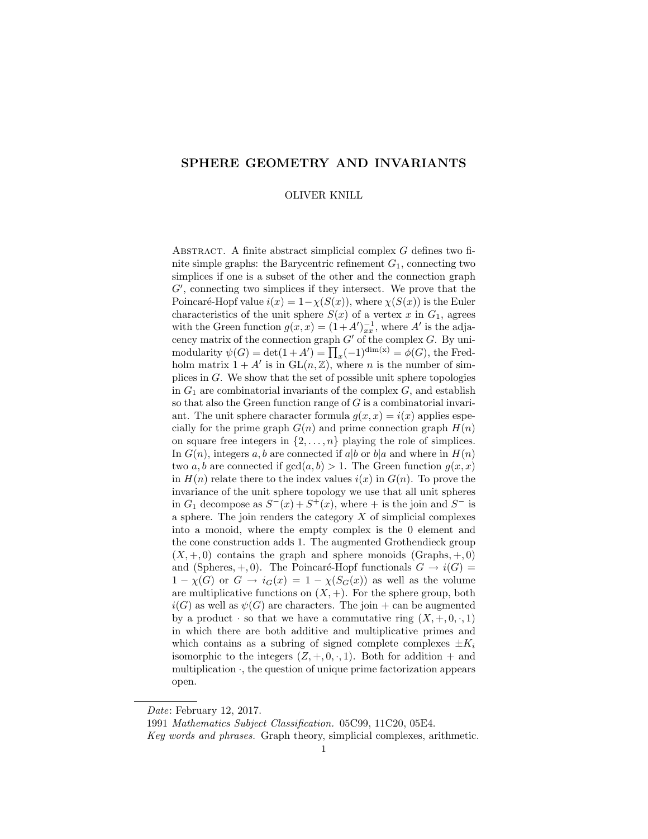# SPHERE GEOMETRY AND INVARIANTS

#### OLIVER KNILL

ABSTRACT. A finite abstract simplicial complex  $G$  defines two finite simple graphs: the Barycentric refinement  $G_1$ , connecting two simplices if one is a subset of the other and the connection graph  $G'$ , connecting two simplices if they intersect. We prove that the Poincaré-Hopf value  $i(x) = 1-\chi(S(x))$ , where  $\chi(S(x))$  is the Euler characteristics of the unit sphere  $S(x)$  of a vertex x in  $G_1$ , agrees with the Green function  $g(x, x) = (1 + A')_{xx}^{-1}$ , where A' is the adjacency matrix of the connection graph  $G'$  of the complex  $G$ . By unimodularity  $\psi(G) = \det(1 + A') = \prod_x (-1)^{\dim(x)} = \phi(G)$ , the Fredholm matrix  $1 + A'$  is in  $GL(n, \mathbb{Z})$ , where *n* is the number of simplices in G. We show that the set of possible unit sphere topologies in  $G_1$  are combinatorial invariants of the complex  $G$ , and establish so that also the Green function range of  $G$  is a combinatorial invariant. The unit sphere character formula  $g(x, x) = i(x)$  applies especially for the prime graph  $G(n)$  and prime connection graph  $H(n)$ on square free integers in  $\{2, \ldots, n\}$  playing the role of simplices. In  $G(n)$ , integers a, b are connected if a|b or b|a and where in  $H(n)$ two a, b are connected if  $gcd(a, b) > 1$ . The Green function  $g(x, x)$ in  $H(n)$  relate there to the index values  $i(x)$  in  $G(n)$ . To prove the invariance of the unit sphere topology we use that all unit spheres in  $G_1$  decompose as  $S^-(x) + S^+(x)$ , where  $+$  is the join and  $S^-$  is a sphere. The join renders the category  $X$  of simplicial complexes into a monoid, where the empty complex is the 0 element and the cone construction adds 1. The augmented Grothendieck group  $(X, +, 0)$  contains the graph and sphere monoids (Graphs,  $+, 0$ ) and (Spheres,  $+, 0$ ). The Poincaré-Hopf functionals  $G \rightarrow i(G)$  $1 - \chi(G)$  or  $G \to i_G(x) = 1 - \chi(S_G(x))$  as well as the volume are multiplicative functions on  $(X, +)$ . For the sphere group, both  $i(G)$  as well as  $\psi(G)$  are characters. The join + can be augmented by a product  $\cdot$  so that we have a commutative ring  $(X, +, 0, \cdot, 1)$ in which there are both additive and multiplicative primes and which contains as a subring of signed complete complexes  $\pm K_i$ isomorphic to the integers  $(Z, +, 0, \cdot, 1)$ . Both for addition  $+$  and multiplication  $\cdot$ , the question of unique prime factorization appears open.

Date: February 12, 2017.

<sup>1991</sup> Mathematics Subject Classification. 05C99, 11C20, 05E4.

Key words and phrases. Graph theory, simplicial complexes, arithmetic.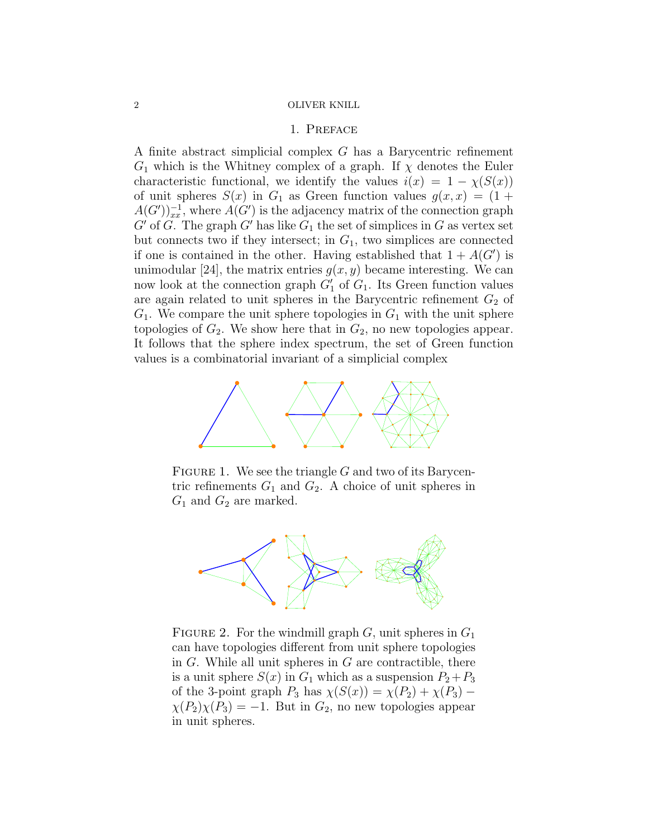# 1. Preface

A finite abstract simplicial complex G has a Barycentric refinement  $G_1$  which is the Whitney complex of a graph. If  $\chi$  denotes the Euler characteristic functional, we identify the values  $i(x) = 1 - \chi(S(x))$ of unit spheres  $S(x)$  in  $G_1$  as Green function values  $g(x, x) = (1 +$  $A(G')_{xx}^{-1}$ , where  $A(G')$  is the adjacency matrix of the connection graph  $G'$  of G. The graph  $G'$  has like  $G_1$  the set of simplices in G as vertex set but connects two if they intersect; in  $G_1$ , two simplices are connected if one is contained in the other. Having established that  $1 + A(G')$  is unimodular [24], the matrix entries  $q(x, y)$  became interesting. We can now look at the connection graph  $G'_{1}$  of  $G_{1}$ . Its Green function values are again related to unit spheres in the Barycentric refinement  $G_2$  of  $G_1$ . We compare the unit sphere topologies in  $G_1$  with the unit sphere topologies of  $G_2$ . We show here that in  $G_2$ , no new topologies appear. It follows that the sphere index spectrum, the set of Green function values is a combinatorial invariant of a simplicial complex



FIGURE 1. We see the triangle  $G$  and two of its Barycentric refinements  $G_1$  and  $G_2$ . A choice of unit spheres in  $G_1$  and  $G_2$  are marked.



FIGURE 2. For the windmill graph  $G$ , unit spheres in  $G_1$ can have topologies different from unit sphere topologies in  $G$ . While all unit spheres in  $G$  are contractible, there is a unit sphere  $S(x)$  in  $G_1$  which as a suspension  $P_2+P_3$ of the 3-point graph  $P_3$  has  $\chi(S(x)) = \chi(P_2) + \chi(P_3)$  –  $\chi(P_2)\chi(P_3) = -1$ . But in  $G_2$ , no new topologies appear in unit spheres.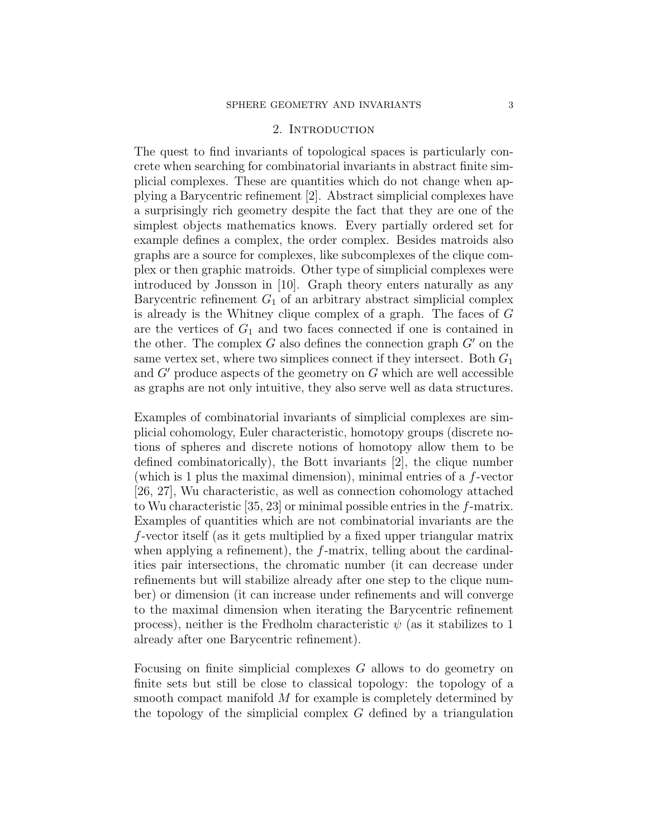# 2. INTRODUCTION

The quest to find invariants of topological spaces is particularly concrete when searching for combinatorial invariants in abstract finite simplicial complexes. These are quantities which do not change when applying a Barycentric refinement [2]. Abstract simplicial complexes have a surprisingly rich geometry despite the fact that they are one of the simplest objects mathematics knows. Every partially ordered set for example defines a complex, the order complex. Besides matroids also graphs are a source for complexes, like subcomplexes of the clique complex or then graphic matroids. Other type of simplicial complexes were introduced by Jonsson in [10]. Graph theory enters naturally as any Barycentric refinement  $G_1$  of an arbitrary abstract simplicial complex is already is the Whitney clique complex of a graph. The faces of G are the vertices of  $G_1$  and two faces connected if one is contained in the other. The complex  $G$  also defines the connection graph  $G'$  on the same vertex set, where two simplices connect if they intersect. Both  $G_1$ and  $G'$  produce aspects of the geometry on  $G$  which are well accessible as graphs are not only intuitive, they also serve well as data structures.

Examples of combinatorial invariants of simplicial complexes are simplicial cohomology, Euler characteristic, homotopy groups (discrete notions of spheres and discrete notions of homotopy allow them to be defined combinatorically), the Bott invariants [2], the clique number (which is 1 plus the maximal dimension), minimal entries of a  $f$ -vector [26, 27], Wu characteristic, as well as connection cohomology attached to Wu characteristic [35, 23] or minimal possible entries in the f-matrix. Examples of quantities which are not combinatorial invariants are the f-vector itself (as it gets multiplied by a fixed upper triangular matrix when applying a refinement), the f-matrix, telling about the cardinalities pair intersections, the chromatic number (it can decrease under refinements but will stabilize already after one step to the clique number) or dimension (it can increase under refinements and will converge to the maximal dimension when iterating the Barycentric refinement process), neither is the Fredholm characteristic  $\psi$  (as it stabilizes to 1 already after one Barycentric refinement).

Focusing on finite simplicial complexes G allows to do geometry on finite sets but still be close to classical topology: the topology of a smooth compact manifold M for example is completely determined by the topology of the simplicial complex  $G$  defined by a triangulation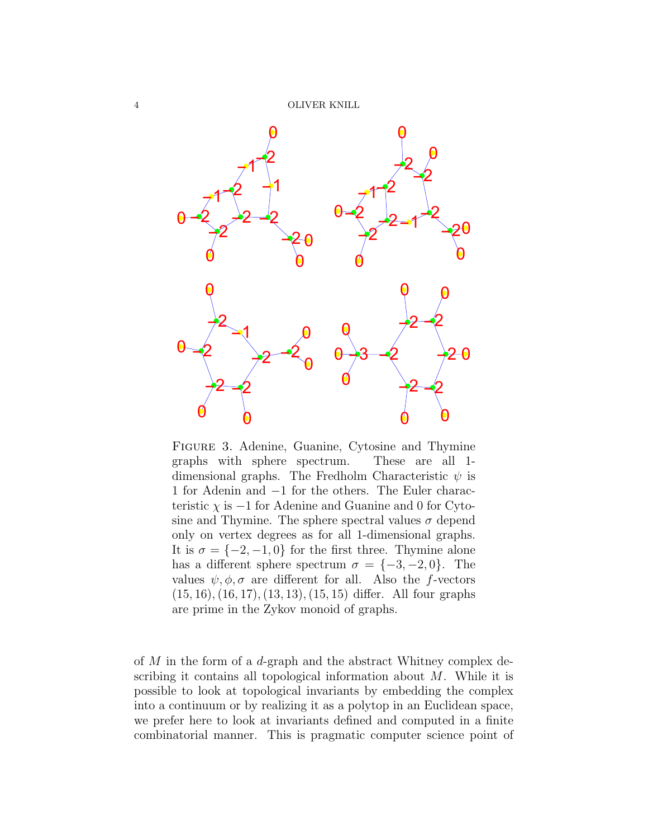

Figure 3. Adenine, Guanine, Cytosine and Thymine graphs with sphere spectrum. These are all 1 dimensional graphs. The Fredholm Characteristic  $\psi$  is 1 for Adenin and −1 for the others. The Euler characteristic  $\chi$  is  $-1$  for Adenine and Guanine and 0 for Cytosine and Thymine. The sphere spectral values  $\sigma$  depend only on vertex degrees as for all 1-dimensional graphs. It is  $\sigma = \{-2, -1, 0\}$  for the first three. Thymine alone has a different sphere spectrum  $\sigma = \{-3, -2, 0\}$ . The values  $\psi, \phi, \sigma$  are different for all. Also the f-vectors  $(15, 16), (16, 17), (13, 13), (15, 15)$  differ. All four graphs are prime in the Zykov monoid of graphs.

of M in the form of a d-graph and the abstract Whitney complex describing it contains all topological information about M. While it is possible to look at topological invariants by embedding the complex into a continuum or by realizing it as a polytop in an Euclidean space, we prefer here to look at invariants defined and computed in a finite combinatorial manner. This is pragmatic computer science point of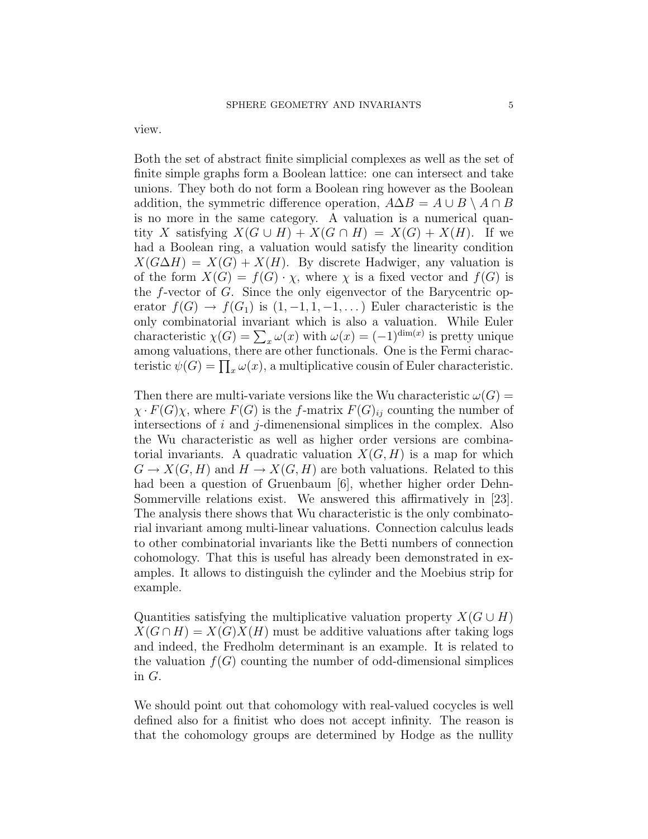view.

Both the set of abstract finite simplicial complexes as well as the set of finite simple graphs form a Boolean lattice: one can intersect and take unions. They both do not form a Boolean ring however as the Boolean addition, the symmetric difference operation,  $A\Delta B = A \cup B \setminus A \cap B$ is no more in the same category. A valuation is a numerical quantity X satisfying  $X(G \cup H) + X(G \cap H) = X(G) + X(H)$ . If we had a Boolean ring, a valuation would satisfy the linearity condition  $X(G\Delta H) = X(G) + X(H)$ . By discrete Hadwiger, any valuation is of the form  $X(G) = f(G) \cdot \chi$ , where  $\chi$  is a fixed vector and  $f(G)$  is the f-vector of G. Since the only eigenvector of the Barycentric operator  $f(G) \to f(G_1)$  is  $(1, -1, 1, -1, ...)$  Euler characteristic is the only combinatorial invariant which is also a valuation. While Euler characteristic  $\chi(G) = \sum_x \omega(x)$  with  $\omega(x) = (-1)^{\dim(x)}$  is pretty unique among valuations, there are other functionals. One is the Fermi characteristic  $\psi(G) = \prod_x \omega(x)$ , a multiplicative cousin of Euler characteristic.

Then there are multi-variate versions like the Wu characteristic  $\omega(G)$  =  $\chi \cdot F(G)\chi$ , where  $F(G)$  is the f-matrix  $F(G)_{ij}$  counting the number of intersections of  $i$  and  $j$ -dimenensional simplices in the complex. Also the Wu characteristic as well as higher order versions are combinatorial invariants. A quadratic valuation  $X(G, H)$  is a map for which  $G \to X(G, H)$  and  $H \to X(G, H)$  are both valuations. Related to this had been a question of Gruenbaum [6], whether higher order Dehn-Sommerville relations exist. We answered this affirmatively in [23]. The analysis there shows that Wu characteristic is the only combinatorial invariant among multi-linear valuations. Connection calculus leads to other combinatorial invariants like the Betti numbers of connection cohomology. That this is useful has already been demonstrated in examples. It allows to distinguish the cylinder and the Moebius strip for example.

Quantities satisfying the multiplicative valuation property  $X(G \cup H)$  $X(G \cap H) = X(G)X(H)$  must be additive valuations after taking logs and indeed, the Fredholm determinant is an example. It is related to the valuation  $f(G)$  counting the number of odd-dimensional simplices in G.

We should point out that cohomology with real-valued cocycles is well defined also for a finitist who does not accept infinity. The reason is that the cohomology groups are determined by Hodge as the nullity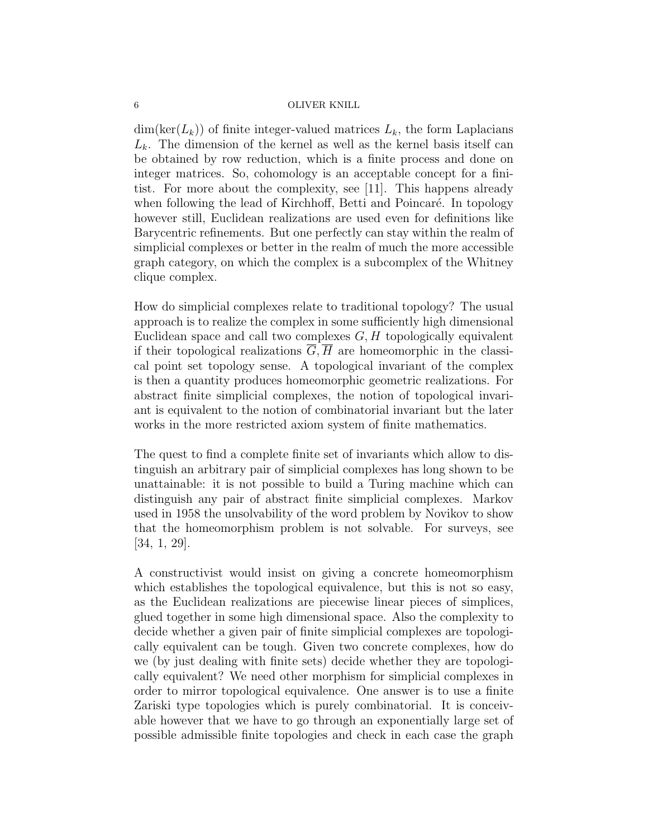$\dim(\ker(L_k))$  of finite integer-valued matrices  $L_k$ , the form Laplacians  $L_k$ . The dimension of the kernel as well as the kernel basis itself can be obtained by row reduction, which is a finite process and done on integer matrices. So, cohomology is an acceptable concept for a finitist. For more about the complexity, see [11]. This happens already when following the lead of Kirchhoff, Betti and Poincaré. In topology however still, Euclidean realizations are used even for definitions like Barycentric refinements. But one perfectly can stay within the realm of simplicial complexes or better in the realm of much the more accessible graph category, on which the complex is a subcomplex of the Whitney clique complex.

How do simplicial complexes relate to traditional topology? The usual approach is to realize the complex in some sufficiently high dimensional Euclidean space and call two complexes  $G, H$  topologically equivalent if their topological realizations  $\overline{G}, \overline{H}$  are homeomorphic in the classical point set topology sense. A topological invariant of the complex is then a quantity produces homeomorphic geometric realizations. For abstract finite simplicial complexes, the notion of topological invariant is equivalent to the notion of combinatorial invariant but the later works in the more restricted axiom system of finite mathematics.

The quest to find a complete finite set of invariants which allow to distinguish an arbitrary pair of simplicial complexes has long shown to be unattainable: it is not possible to build a Turing machine which can distinguish any pair of abstract finite simplicial complexes. Markov used in 1958 the unsolvability of the word problem by Novikov to show that the homeomorphism problem is not solvable. For surveys, see [34, 1, 29].

A constructivist would insist on giving a concrete homeomorphism which establishes the topological equivalence, but this is not so easy, as the Euclidean realizations are piecewise linear pieces of simplices, glued together in some high dimensional space. Also the complexity to decide whether a given pair of finite simplicial complexes are topologically equivalent can be tough. Given two concrete complexes, how do we (by just dealing with finite sets) decide whether they are topologically equivalent? We need other morphism for simplicial complexes in order to mirror topological equivalence. One answer is to use a finite Zariski type topologies which is purely combinatorial. It is conceivable however that we have to go through an exponentially large set of possible admissible finite topologies and check in each case the graph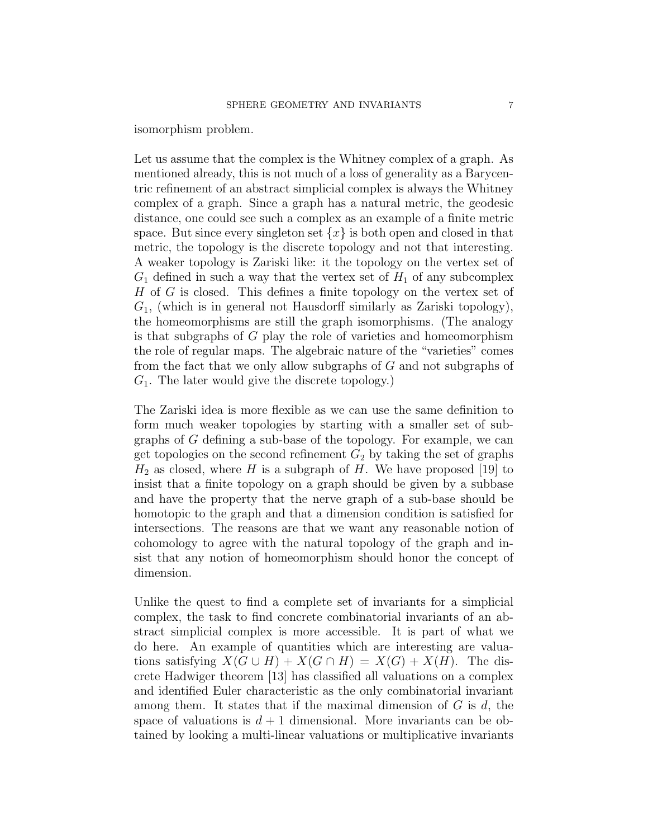isomorphism problem.

Let us assume that the complex is the Whitney complex of a graph. As mentioned already, this is not much of a loss of generality as a Barycentric refinement of an abstract simplicial complex is always the Whitney complex of a graph. Since a graph has a natural metric, the geodesic distance, one could see such a complex as an example of a finite metric space. But since every singleton set  $\{x\}$  is both open and closed in that metric, the topology is the discrete topology and not that interesting. A weaker topology is Zariski like: it the topology on the vertex set of  $G_1$  defined in such a way that the vertex set of  $H_1$  of any subcomplex  $H$  of  $G$  is closed. This defines a finite topology on the vertex set of  $G_1$ , (which is in general not Hausdorff similarly as Zariski topology), the homeomorphisms are still the graph isomorphisms. (The analogy is that subgraphs of G play the role of varieties and homeomorphism the role of regular maps. The algebraic nature of the "varieties" comes from the fact that we only allow subgraphs of G and not subgraphs of  $G_1$ . The later would give the discrete topology.)

The Zariski idea is more flexible as we can use the same definition to form much weaker topologies by starting with a smaller set of subgraphs of G defining a sub-base of the topology. For example, we can get topologies on the second refinement  $G_2$  by taking the set of graphs  $H_2$  as closed, where H is a subgraph of H. We have proposed [19] to insist that a finite topology on a graph should be given by a subbase and have the property that the nerve graph of a sub-base should be homotopic to the graph and that a dimension condition is satisfied for intersections. The reasons are that we want any reasonable notion of cohomology to agree with the natural topology of the graph and insist that any notion of homeomorphism should honor the concept of dimension.

Unlike the quest to find a complete set of invariants for a simplicial complex, the task to find concrete combinatorial invariants of an abstract simplicial complex is more accessible. It is part of what we do here. An example of quantities which are interesting are valuations satisfying  $X(G \cup H) + X(G \cap H) = X(G) + X(H)$ . The discrete Hadwiger theorem [13] has classified all valuations on a complex and identified Euler characteristic as the only combinatorial invariant among them. It states that if the maximal dimension of  $G$  is  $d$ , the space of valuations is  $d+1$  dimensional. More invariants can be obtained by looking a multi-linear valuations or multiplicative invariants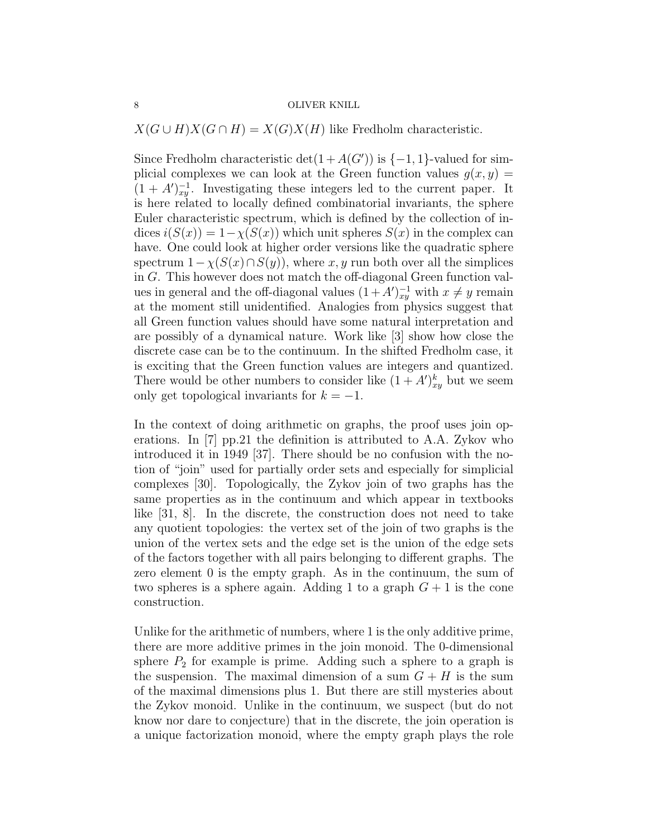$X(G \cup H)X(G \cap H) = X(G)X(H)$  like Fredholm characteristic.

Since Fredholm characteristic  $det(1 + A(G'))$  is  $\{-1, 1\}$ -valued for simplicial complexes we can look at the Green function values  $g(x, y) =$  $(1 + A')_{xy}^{-1}$ . Investigating these integers led to the current paper. It is here related to locally defined combinatorial invariants, the sphere Euler characteristic spectrum, which is defined by the collection of indices  $i(S(x)) = 1-\chi(S(x))$  which unit spheres  $S(x)$  in the complex can have. One could look at higher order versions like the quadratic sphere spectrum  $1-\chi(S(x)\cap S(y))$ , where x, y run both over all the simplices in G. This however does not match the off-diagonal Green function values in general and the off-diagonal values  $(1 + A')_{xy}^{-1}$  with  $x \neq y$  remain at the moment still unidentified. Analogies from physics suggest that all Green function values should have some natural interpretation and are possibly of a dynamical nature. Work like [3] show how close the discrete case can be to the continuum. In the shifted Fredholm case, it is exciting that the Green function values are integers and quantized. There would be other numbers to consider like  $(1 + A')_{xy}^k$  but we seem only get topological invariants for  $k = -1$ .

In the context of doing arithmetic on graphs, the proof uses join operations. In [7] pp.21 the definition is attributed to A.A. Zykov who introduced it in 1949 [37]. There should be no confusion with the notion of "join" used for partially order sets and especially for simplicial complexes [30]. Topologically, the Zykov join of two graphs has the same properties as in the continuum and which appear in textbooks like [31, 8]. In the discrete, the construction does not need to take any quotient topologies: the vertex set of the join of two graphs is the union of the vertex sets and the edge set is the union of the edge sets of the factors together with all pairs belonging to different graphs. The zero element 0 is the empty graph. As in the continuum, the sum of two spheres is a sphere again. Adding 1 to a graph  $G + 1$  is the cone construction.

Unlike for the arithmetic of numbers, where 1 is the only additive prime, there are more additive primes in the join monoid. The 0-dimensional sphere  $P_2$  for example is prime. Adding such a sphere to a graph is the suspension. The maximal dimension of a sum  $G + H$  is the sum of the maximal dimensions plus 1. But there are still mysteries about the Zykov monoid. Unlike in the continuum, we suspect (but do not know nor dare to conjecture) that in the discrete, the join operation is a unique factorization monoid, where the empty graph plays the role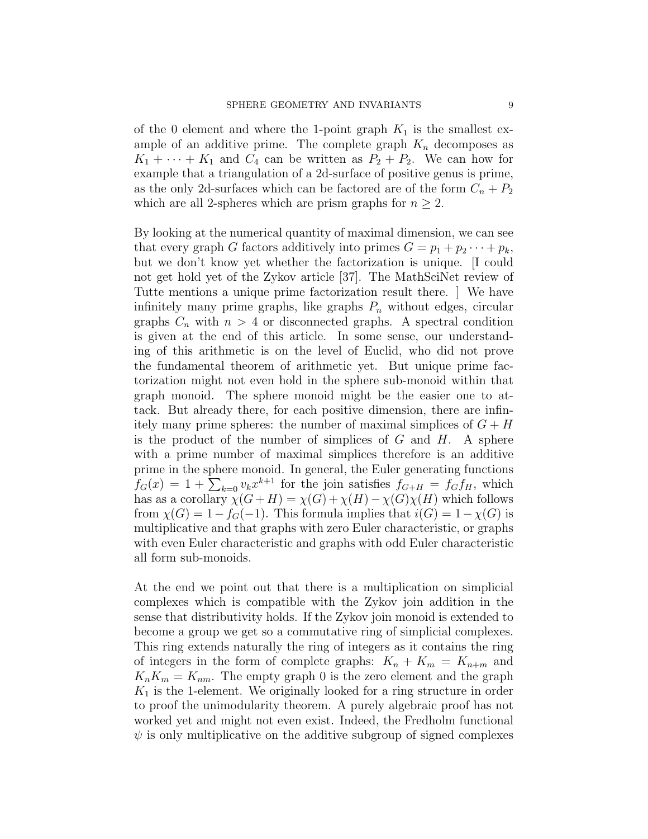of the 0 element and where the 1-point graph  $K_1$  is the smallest example of an additive prime. The complete graph  $K_n$  decomposes as  $K_1 + \cdots + K_1$  and  $C_4$  can be written as  $P_2 + P_2$ . We can how for example that a triangulation of a 2d-surface of positive genus is prime, as the only 2d-surfaces which can be factored are of the form  $C_n + P_2$ which are all 2-spheres which are prism graphs for  $n \geq 2$ .

By looking at the numerical quantity of maximal dimension, we can see that every graph G factors additively into primes  $G = p_1 + p_2 \cdots + p_k$ , but we don't know yet whether the factorization is unique. [I could not get hold yet of the Zykov article [37]. The MathSciNet review of Tutte mentions a unique prime factorization result there. ] We have infinitely many prime graphs, like graphs  $P_n$  without edges, circular graphs  $C_n$  with  $n > 4$  or disconnected graphs. A spectral condition is given at the end of this article. In some sense, our understanding of this arithmetic is on the level of Euclid, who did not prove the fundamental theorem of arithmetic yet. But unique prime factorization might not even hold in the sphere sub-monoid within that graph monoid. The sphere monoid might be the easier one to attack. But already there, for each positive dimension, there are infinitely many prime spheres: the number of maximal simplices of  $G + H$ is the product of the number of simplices of  $G$  and  $H$ . A sphere with a prime number of maximal simplices therefore is an additive prime in the sphere monoid. In general, the Euler generating functions  $f_G(x) = 1 + \sum_{k=0} v_k x^{k+1}$  for the join satisfies  $f_{G+H} = f_G f_H$ , which has as a corollary  $\chi(G+H) = \chi(G) + \chi(H) - \chi(G)\chi(H)$  which follows from  $\chi(G) = 1 - f_G(-1)$ . This formula implies that  $i(G) = 1 - \chi(G)$  is multiplicative and that graphs with zero Euler characteristic, or graphs with even Euler characteristic and graphs with odd Euler characteristic all form sub-monoids.

At the end we point out that there is a multiplication on simplicial complexes which is compatible with the Zykov join addition in the sense that distributivity holds. If the Zykov join monoid is extended to become a group we get so a commutative ring of simplicial complexes. This ring extends naturally the ring of integers as it contains the ring of integers in the form of complete graphs:  $K_n + K_m = K_{n+m}$  and  $K_nK_m = K_{nm}$ . The empty graph 0 is the zero element and the graph  $K_1$  is the 1-element. We originally looked for a ring structure in order to proof the unimodularity theorem. A purely algebraic proof has not worked yet and might not even exist. Indeed, the Fredholm functional  $\psi$  is only multiplicative on the additive subgroup of signed complexes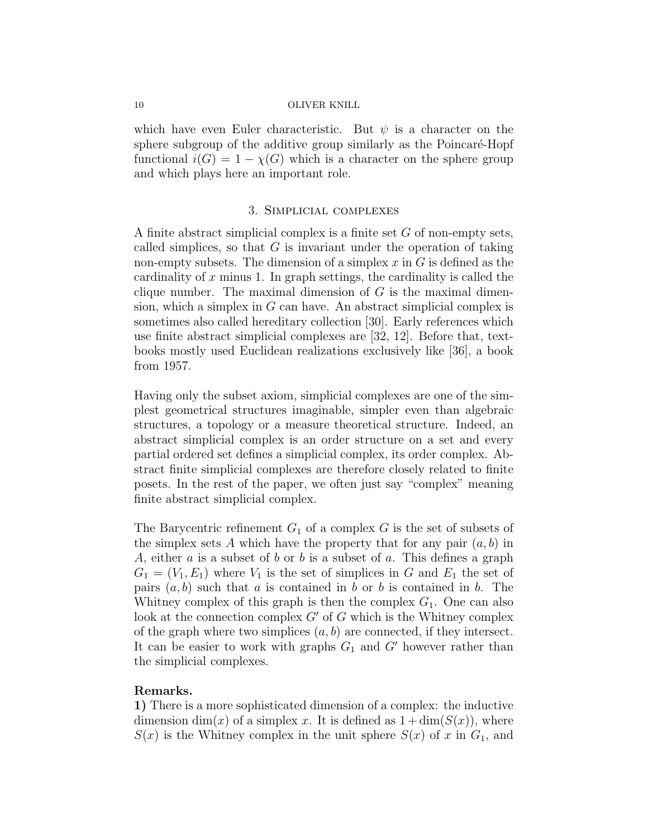which have even Euler characteristic. But  $\psi$  is a character on the sphere subgroup of the additive group similarly as the Poincaré-Hopf functional  $i(G) = 1 - \chi(G)$  which is a character on the sphere group and which plays here an important role.

# 3. Simplicial complexes

A finite abstract simplicial complex is a finite set G of non-empty sets, called simplices, so that  $G$  is invariant under the operation of taking non-empty subsets. The dimension of a simplex  $x$  in  $G$  is defined as the cardinality of  $x$  minus 1. In graph settings, the cardinality is called the clique number. The maximal dimension of  $G$  is the maximal dimension, which a simplex in  $G$  can have. An abstract simplicial complex is sometimes also called hereditary collection [30]. Early references which use finite abstract simplicial complexes are [32, 12]. Before that, textbooks mostly used Euclidean realizations exclusively like [36], a book from 1957.

Having only the subset axiom, simplicial complexes are one of the simplest geometrical structures imaginable, simpler even than algebraic structures, a topology or a measure theoretical structure. Indeed, an abstract simplicial complex is an order structure on a set and every partial ordered set defines a simplicial complex, its order complex. Abstract finite simplicial complexes are therefore closely related to finite posets. In the rest of the paper, we often just say "complex" meaning finite abstract simplicial complex.

The Barycentric refinement  $G_1$  of a complex G is the set of subsets of the simplex sets A which have the property that for any pair  $(a, b)$  in A, either  $a$  is a subset of  $b$  or  $b$  is a subset of  $a$ . This defines a graph  $G_1 = (V_1, E_1)$  where  $V_1$  is the set of simplices in G and  $E_1$  the set of pairs  $(a, b)$  such that a is contained in b or b is contained in b. The Whitney complex of this graph is then the complex  $G_1$ . One can also look at the connection complex  $G'$  of G which is the Whitney complex of the graph where two simplices  $(a, b)$  are connected, if they intersect. It can be easier to work with graphs  $G_1$  and  $G'$  however rather than the simplicial complexes.

# Remarks.

1) There is a more sophisticated dimension of a complex: the inductive dimension dim(x) of a simplex x. It is defined as  $1 + \dim(S(x))$ , where  $S(x)$  is the Whitney complex in the unit sphere  $S(x)$  of x in  $G_1$ , and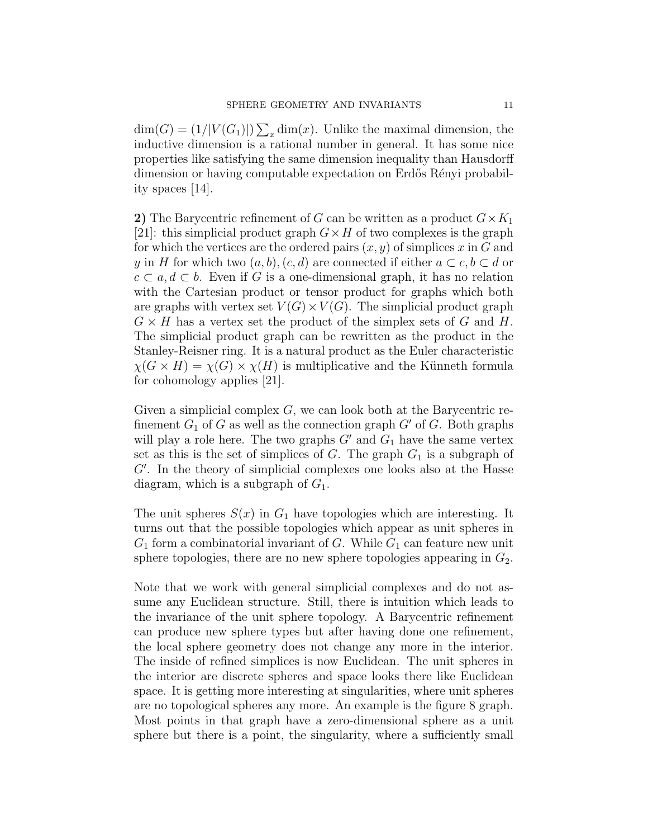$\dim(G) = (1/|V(G_1)|) \sum_x \dim(x)$ . Unlike the maximal dimension, the inductive dimension is a rational number in general. It has some nice properties like satisfying the same dimension inequality than Hausdorff dimension or having computable expectation on Erdős Rényi probability spaces [14].

2) The Barycentric refinement of G can be written as a product  $G \times K_1$ [21]: this simplicial product graph  $G \times H$  of two complexes is the graph for which the vertices are the ordered pairs  $(x, y)$  of simplices x in G and y in H for which two  $(a, b), (c, d)$  are connected if either  $a \subset c, b \subset d$  or  $c \subset a, d \subset b$ . Even if G is a one-dimensional graph, it has no relation with the Cartesian product or tensor product for graphs which both are graphs with vertex set  $V(G) \times V(G)$ . The simplicial product graph  $G \times H$  has a vertex set the product of the simplex sets of G and H. The simplicial product graph can be rewritten as the product in the Stanley-Reisner ring. It is a natural product as the Euler characteristic  $\chi(G \times H) = \chi(G) \times \chi(H)$  is multiplicative and the Künneth formula for cohomology applies [21].

Given a simplicial complex  $G$ , we can look both at the Barycentric refinement  $G_1$  of G as well as the connection graph  $G'$  of G. Both graphs will play a role here. The two graphs  $G'$  and  $G_1$  have the same vertex set as this is the set of simplices of  $G$ . The graph  $G_1$  is a subgraph of  $G'$ . In the theory of simplicial complexes one looks also at the Hasse diagram, which is a subgraph of  $G_1$ .

The unit spheres  $S(x)$  in  $G_1$  have topologies which are interesting. It turns out that the possible topologies which appear as unit spheres in  $G_1$  form a combinatorial invariant of G. While  $G_1$  can feature new unit sphere topologies, there are no new sphere topologies appearing in  $G_2$ .

Note that we work with general simplicial complexes and do not assume any Euclidean structure. Still, there is intuition which leads to the invariance of the unit sphere topology. A Barycentric refinement can produce new sphere types but after having done one refinement, the local sphere geometry does not change any more in the interior. The inside of refined simplices is now Euclidean. The unit spheres in the interior are discrete spheres and space looks there like Euclidean space. It is getting more interesting at singularities, where unit spheres are no topological spheres any more. An example is the figure 8 graph. Most points in that graph have a zero-dimensional sphere as a unit sphere but there is a point, the singularity, where a sufficiently small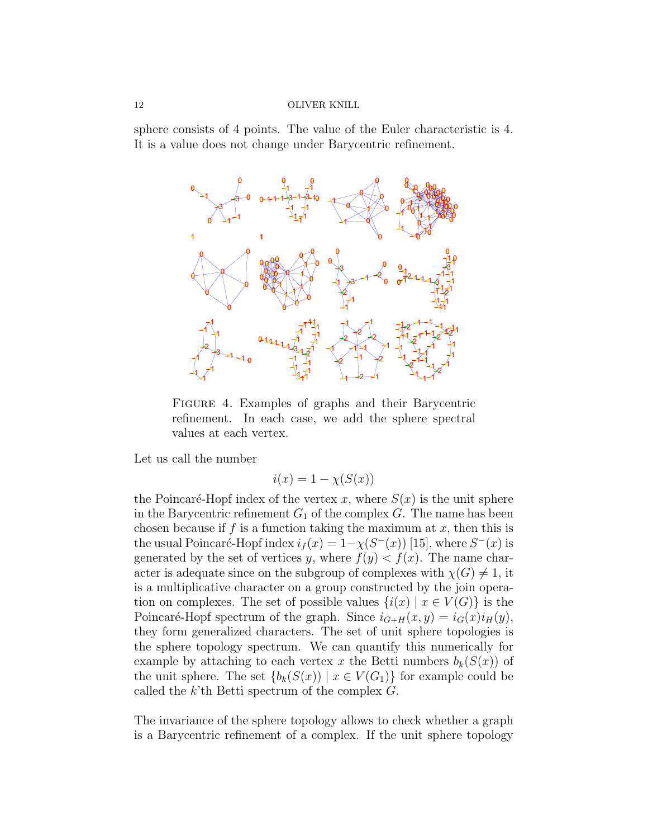sphere consists of 4 points. The value of the Euler characteristic is 4. It is a value does not change under Barycentric refinement.



Figure 4. Examples of graphs and their Barycentric refinement. In each case, we add the sphere spectral values at each vertex.

Let us call the number

$$
i(x) = 1 - \chi(S(x))
$$

the Poincaré-Hopf index of the vertex x, where  $S(x)$  is the unit sphere in the Barycentric refinement  $G_1$  of the complex  $G$ . The name has been chosen because if f is a function taking the maximum at  $x$ , then this is the usual Poincaré-Hopf index  $i_f(x) = 1 - \chi(S^{-}(x))$  [15], where  $S^{-}(x)$  is generated by the set of vertices y, where  $f(y) < f(x)$ . The name character is adequate since on the subgroup of complexes with  $\chi(G) \neq 1$ , it is a multiplicative character on a group constructed by the join operation on complexes. The set of possible values  $\{i(x) | x \in V(G)\}\$ is the Poincaré-Hopf spectrum of the graph. Since  $i_{G+H}(x, y) = i_G(x)i_H(y)$ , they form generalized characters. The set of unit sphere topologies is the sphere topology spectrum. We can quantify this numerically for example by attaching to each vertex x the Betti numbers  $b_k(S(x))$  of the unit sphere. The set  ${b_k(S(x)) \mid x \in V(G_1)}$  for example could be called the  $k$ 'th Betti spectrum of the complex  $G$ .

The invariance of the sphere topology allows to check whether a graph is a Barycentric refinement of a complex. If the unit sphere topology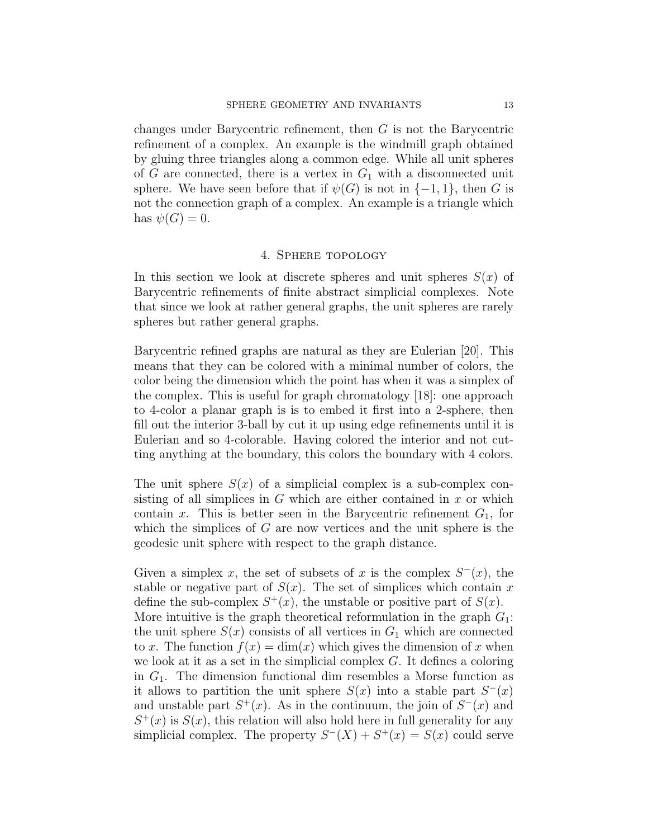changes under Barycentric refinement, then G is not the Barycentric refinement of a complex. An example is the windmill graph obtained by gluing three triangles along a common edge. While all unit spheres of  $G$  are connected, there is a vertex in  $G_1$  with a disconnected unit sphere. We have seen before that if  $\psi(G)$  is not in  $\{-1, 1\}$ , then G is not the connection graph of a complex. An example is a triangle which has  $\psi(G) = 0$ .

# 4. Sphere topology

In this section we look at discrete spheres and unit spheres  $S(x)$  of Barycentric refinements of finite abstract simplicial complexes. Note that since we look at rather general graphs, the unit spheres are rarely spheres but rather general graphs.

Barycentric refined graphs are natural as they are Eulerian [20]. This means that they can be colored with a minimal number of colors, the color being the dimension which the point has when it was a simplex of the complex. This is useful for graph chromatology [18]: one approach to 4-color a planar graph is is to embed it first into a 2-sphere, then fill out the interior 3-ball by cut it up using edge refinements until it is Eulerian and so 4-colorable. Having colored the interior and not cutting anything at the boundary, this colors the boundary with 4 colors.

The unit sphere  $S(x)$  of a simplicial complex is a sub-complex consisting of all simplices in  $G$  which are either contained in  $x$  or which contain x. This is better seen in the Barycentric refinement  $G_1$ , for which the simplices of  $G$  are now vertices and the unit sphere is the geodesic unit sphere with respect to the graph distance.

Given a simplex x, the set of subsets of x is the complex  $S^-(x)$ , the stable or negative part of  $S(x)$ . The set of simplices which contain x define the sub-complex  $S^+(x)$ , the unstable or positive part of  $S(x)$ . More intuitive is the graph theoretical reformulation in the graph  $G_1$ : the unit sphere  $S(x)$  consists of all vertices in  $G_1$  which are connected to x. The function  $f(x) = \dim(x)$  which gives the dimension of x when we look at it as a set in the simplicial complex  $G$ . It defines a coloring in  $G_1$ . The dimension functional dim resembles a Morse function as it allows to partition the unit sphere  $S(x)$  into a stable part  $S<sup>-</sup>(x)$ and unstable part  $S^+(x)$ . As in the continuum, the join of  $S^-(x)$  and  $S^{+}(x)$  is  $S(x)$ , this relation will also hold here in full generality for any simplicial complex. The property  $S^{-}(X) + S^{+}(x) = S(x)$  could serve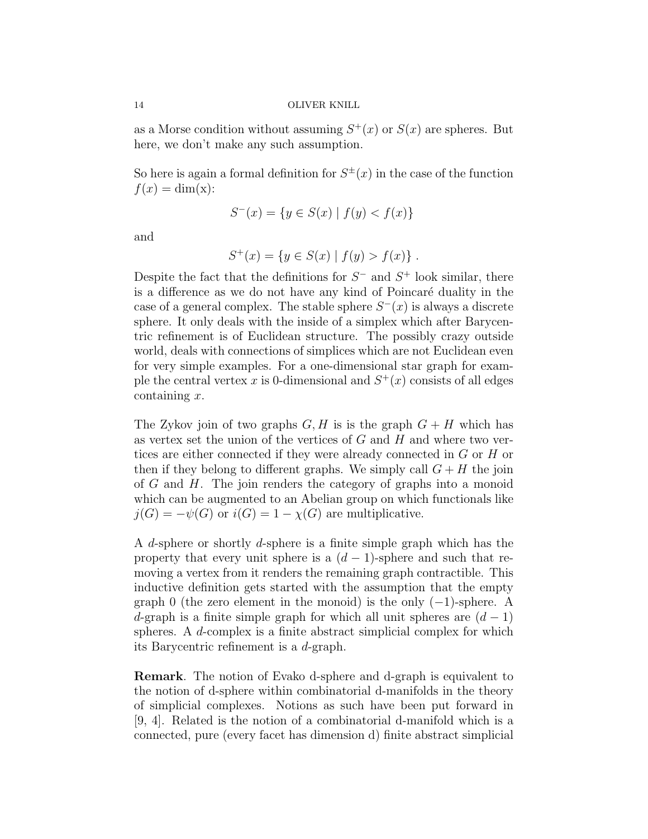as a Morse condition without assuming  $S^+(x)$  or  $S(x)$  are spheres. But here, we don't make any such assumption.

So here is again a formal definition for  $S^{\pm}(x)$  in the case of the function  $f(x) = \dim(x)$ :

$$
S^{-}(x) = \{ y \in S(x) \mid f(y) < f(x) \}
$$

and

$$
S^{+}(x) = \{ y \in S(x) \mid f(y) > f(x) \} .
$$

Despite the fact that the definitions for  $S^-$  and  $S^+$  look similar, there is a difference as we do not have any kind of Poincaré duality in the case of a general complex. The stable sphere  $S<sup>-</sup>(x)$  is always a discrete sphere. It only deals with the inside of a simplex which after Barycentric refinement is of Euclidean structure. The possibly crazy outside world, deals with connections of simplices which are not Euclidean even for very simple examples. For a one-dimensional star graph for example the central vertex x is 0-dimensional and  $S^+(x)$  consists of all edges containing x.

The Zykov join of two graphs  $G, H$  is is the graph  $G + H$  which has as vertex set the union of the vertices of  $G$  and  $H$  and where two vertices are either connected if they were already connected in G or H or then if they belong to different graphs. We simply call  $G + H$  the join of G and H. The join renders the category of graphs into a monoid which can be augmented to an Abelian group on which functionals like  $j(G) = -\psi(G)$  or  $i(G) = 1 - \chi(G)$  are multiplicative.

A d-sphere or shortly d-sphere is a finite simple graph which has the property that every unit sphere is a  $(d-1)$ -sphere and such that removing a vertex from it renders the remaining graph contractible. This inductive definition gets started with the assumption that the empty graph 0 (the zero element in the monoid) is the only  $(-1)$ -sphere. A d-graph is a finite simple graph for which all unit spheres are  $(d-1)$ spheres. A  $d$ -complex is a finite abstract simplicial complex for which its Barycentric refinement is a d-graph.

Remark. The notion of Evako d-sphere and d-graph is equivalent to the notion of d-sphere within combinatorial d-manifolds in the theory of simplicial complexes. Notions as such have been put forward in [9, 4]. Related is the notion of a combinatorial d-manifold which is a connected, pure (every facet has dimension d) finite abstract simplicial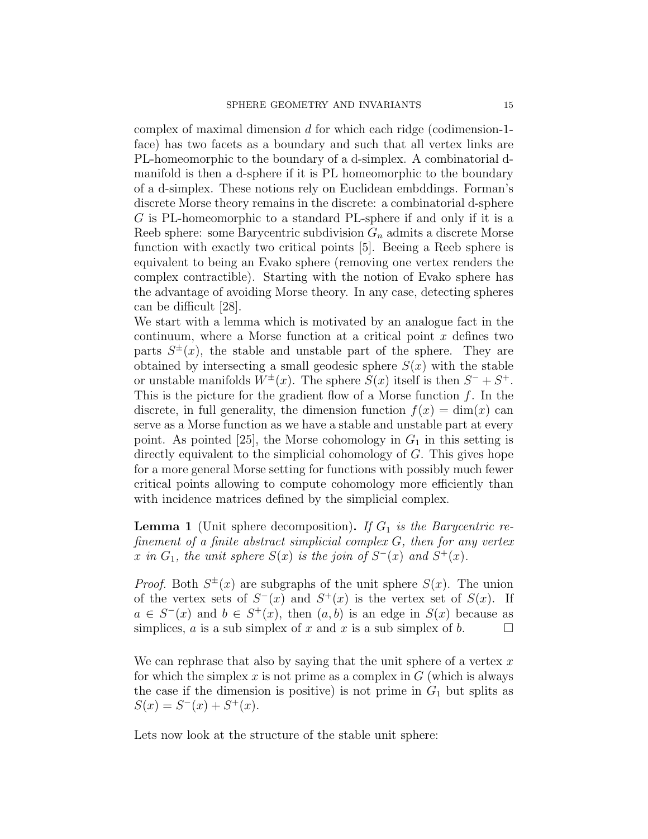complex of maximal dimension d for which each ridge (codimension-1 face) has two facets as a boundary and such that all vertex links are PL-homeomorphic to the boundary of a d-simplex. A combinatorial dmanifold is then a d-sphere if it is PL homeomorphic to the boundary of a d-simplex. These notions rely on Euclidean embddings. Forman's discrete Morse theory remains in the discrete: a combinatorial d-sphere G is PL-homeomorphic to a standard PL-sphere if and only if it is a Reeb sphere: some Barycentric subdivision  $G_n$  admits a discrete Morse function with exactly two critical points [5]. Beeing a Reeb sphere is equivalent to being an Evako sphere (removing one vertex renders the complex contractible). Starting with the notion of Evako sphere has the advantage of avoiding Morse theory. In any case, detecting spheres can be difficult [28].

We start with a lemma which is motivated by an analogue fact in the continuum, where a Morse function at a critical point  $x$  defines two parts  $S^{\pm}(x)$ , the stable and unstable part of the sphere. They are obtained by intersecting a small geodesic sphere  $S(x)$  with the stable or unstable manifolds  $W^{\pm}(x)$ . The sphere  $S(x)$  itself is then  $S^{-} + S^{+}$ . This is the picture for the gradient flow of a Morse function  $f$ . In the discrete, in full generality, the dimension function  $f(x) = \dim(x)$  can serve as a Morse function as we have a stable and unstable part at every point. As pointed [25], the Morse cohomology in  $G_1$  in this setting is directly equivalent to the simplicial cohomology of G. This gives hope for a more general Morse setting for functions with possibly much fewer critical points allowing to compute cohomology more efficiently than with incidence matrices defined by the simplicial complex.

**Lemma 1** (Unit sphere decomposition). If  $G_1$  is the Barycentric refinement of a finite abstract simplicial complex  $G$ , then for any vertex x in  $G_1$ , the unit sphere  $S(x)$  is the join of  $S<sup>-</sup>(x)$  and  $S<sup>+</sup>(x)$ .

*Proof.* Both  $S^{\pm}(x)$  are subgraphs of the unit sphere  $S(x)$ . The union of the vertex sets of  $S^{-}(x)$  and  $S^{+}(x)$  is the vertex set of  $S(x)$ . If  $a \in S^{-}(x)$  and  $b \in S^{+}(x)$ , then  $(a, b)$  is an edge in  $S(x)$  because as simplices, a is a sub simplex of x and x is a sub simplex of b.  $\square$ 

We can rephrase that also by saying that the unit sphere of a vertex  $x$ for which the simplex  $x$  is not prime as a complex in  $G$  (which is always the case if the dimension is positive) is not prime in  $G_1$  but splits as  $S(x) = S<sup>-</sup>(x) + S<sup>+</sup>(x).$ 

Lets now look at the structure of the stable unit sphere: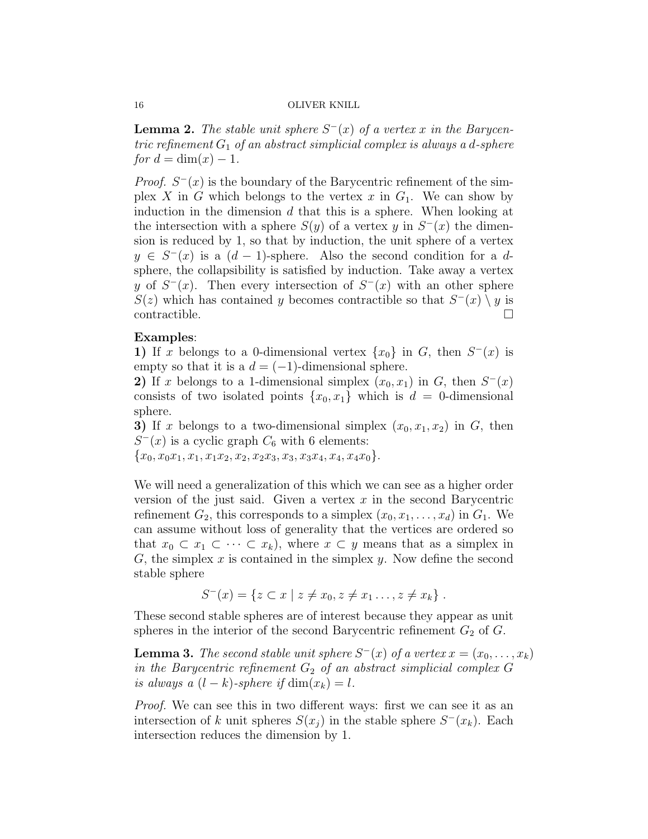**Lemma 2.** The stable unit sphere  $S^-(x)$  of a vertex x in the Barycentric refinement  $G_1$  of an abstract simplicial complex is always a d-sphere for  $d = \dim(x) - 1$ .

*Proof.*  $S^{-}(x)$  is the boundary of the Barycentric refinement of the simplex X in G which belongs to the vertex x in  $G_1$ . We can show by induction in the dimension  $d$  that this is a sphere. When looking at the intersection with a sphere  $S(y)$  of a vertex y in  $S<sup>-</sup>(x)$  the dimension is reduced by 1, so that by induction, the unit sphere of a vertex  $y \in S^{-}(x)$  is a  $(d-1)$ -sphere. Also the second condition for a dsphere, the collapsibility is satisfied by induction. Take away a vertex y of  $S^{-}(x)$ . Then every intersection of  $S^{-}(x)$  with an other sphere  $S(z)$  which has contained y becomes contractible so that  $S^{-}(x) \setminus y$  is contractible.  $\hfill \square$ 

# Examples:

1) If x belongs to a 0-dimensional vertex  $\{x_0\}$  in G, then  $S^-(x)$  is empty so that it is a  $d = (-1)$ -dimensional sphere.

2) If x belongs to a 1-dimensional simplex  $(x_0, x_1)$  in G, then  $S<sup>-</sup>(x)$ consists of two isolated points  $\{x_0, x_1\}$  which is  $d = 0$ -dimensional sphere.

3) If x belongs to a two-dimensional simplex  $(x_0, x_1, x_2)$  in G, then  $S<sup>-</sup>(x)$  is a cyclic graph  $C<sub>6</sub>$  with 6 elements:

 ${x_0, x_0x_1, x_1, x_1x_2, x_2, x_2x_3, x_3, x_3x_4, x_4, x_4x_0}.$ 

We will need a generalization of this which we can see as a higher order version of the just said. Given a vertex  $x$  in the second Barycentric refinement  $G_2$ , this corresponds to a simplex  $(x_0, x_1, \ldots, x_d)$  in  $G_1$ . We can assume without loss of generality that the vertices are ordered so that  $x_0 \subset x_1 \subset \cdots \subset x_k$ , where  $x \subset y$  means that as a simplex in  $G$ , the simplex  $x$  is contained in the simplex  $y$ . Now define the second stable sphere

$$
S^{-}(x) = \{ z \subset x \mid z \neq x_0, z \neq x_1 \dots, z \neq x_k \}.
$$

These second stable spheres are of interest because they appear as unit spheres in the interior of the second Barycentric refinement  $G_2$  of  $G$ .

**Lemma 3.** The second stable unit sphere  $S^-(x)$  of a vertex  $x = (x_0, \ldots, x_k)$ in the Barycentric refinement  $G_2$  of an abstract simplicial complex G is always a  $(l - k)$ -sphere if  $\dim(x_k) = l$ .

Proof. We can see this in two different ways: first we can see it as an intersection of k unit spheres  $S(x_j)$  in the stable sphere  $S^{-}(x_k)$ . Each intersection reduces the dimension by 1.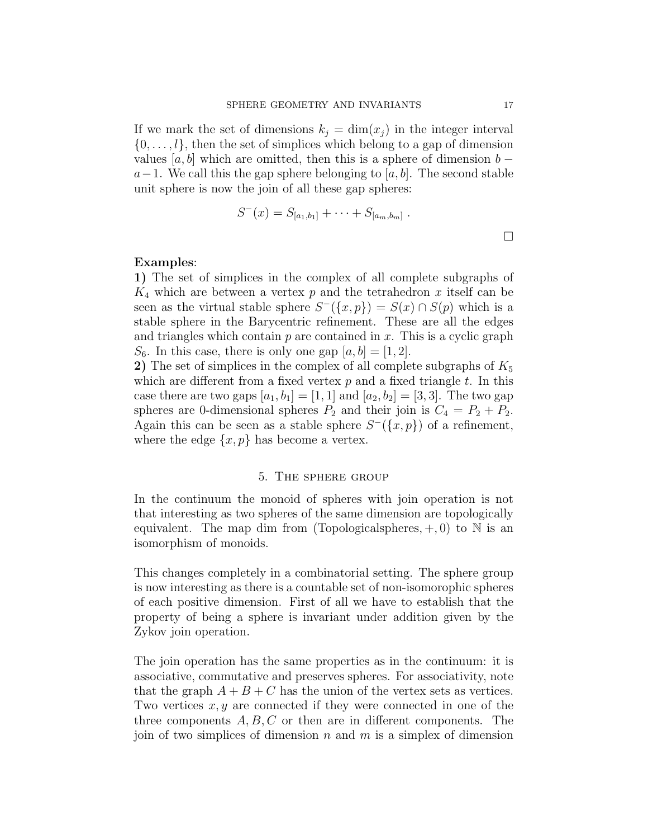If we mark the set of dimensions  $k_i = \dim(x_i)$  in the integer interval  $\{0, \ldots, l\}$ , then the set of simplices which belong to a gap of dimension values  $[a, b]$  which are omitted, then this is a sphere of dimension  $b$  $a-1$ . We call this the gap sphere belonging to [a, b]. The second stable unit sphere is now the join of all these gap spheres:

$$
S^{-}(x) = S_{[a_1,b_1]} + \cdots + S_{[a_m,b_m]}.
$$

# Examples:

1) The set of simplices in the complex of all complete subgraphs of  $K_4$  which are between a vertex p and the tetrahedron x itself can be seen as the virtual stable sphere  $S^{-}(\lbrace x, p \rbrace) = S(x) \cap S(p)$  which is a stable sphere in the Barycentric refinement. These are all the edges and triangles which contain  $p$  are contained in  $x$ . This is a cyclic graph  $S_6$ . In this case, there is only one gap  $[a, b] = [1, 2]$ .

2) The set of simplices in the complex of all complete subgraphs of  $K_5$ which are different from a fixed vertex  $p$  and a fixed triangle  $t$ . In this case there are two gaps  $[a_1, b_1] = [1, 1]$  and  $[a_2, b_2] = [3, 3]$ . The two gap spheres are 0-dimensional spheres  $P_2$  and their join is  $C_4 = P_2 + P_2$ . Again this can be seen as a stable sphere  $S^{-}(\lbrace x, p \rbrace)$  of a refinement, where the edge  $\{x, p\}$  has become a vertex.

# 5. The sphere group

In the continuum the monoid of spheres with join operation is not that interesting as two spheres of the same dimension are topologically equivalent. The map dim from (Topological spheres,  $+, 0$ ) to N is an isomorphism of monoids.

This changes completely in a combinatorial setting. The sphere group is now interesting as there is a countable set of non-isomorophic spheres of each positive dimension. First of all we have to establish that the property of being a sphere is invariant under addition given by the Zykov join operation.

The join operation has the same properties as in the continuum: it is associative, commutative and preserves spheres. For associativity, note that the graph  $A + B + C$  has the union of the vertex sets as vertices. Two vertices  $x, y$  are connected if they were connected in one of the three components  $A, B, C$  or then are in different components. The join of two simplices of dimension n and m is a simplex of dimension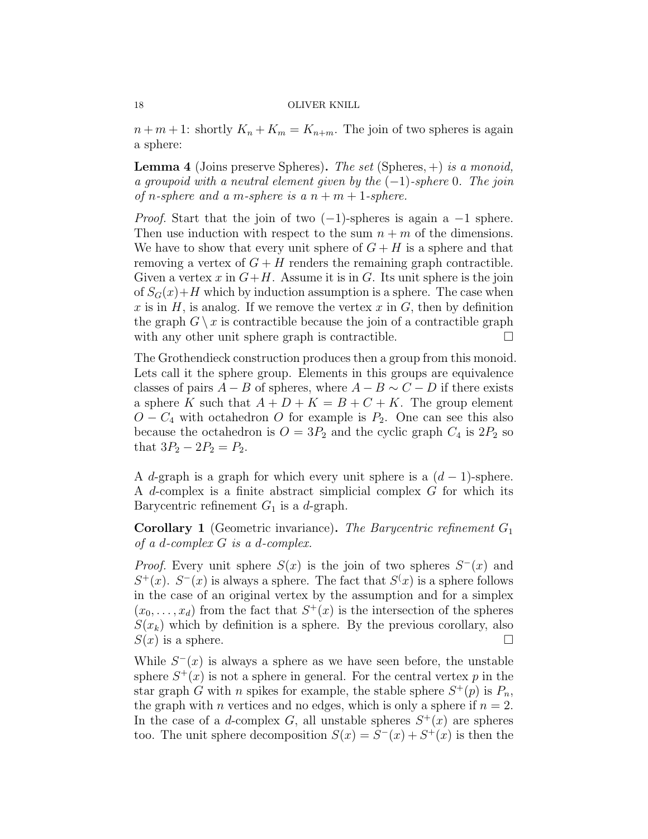$n+m+1$ : shortly  $K_n+K_m=K_{n+m}$ . The join of two spheres is again a sphere:

**Lemma 4** (Joins preserve Spheres). The set (Spheres,  $+$ ) is a monoid, a groupoid with a neutral element given by the  $(-1)$ -sphere 0. The join of n-sphere and a m-sphere is a  $n + m + 1$ -sphere.

*Proof.* Start that the join of two  $(-1)$ -spheres is again a  $-1$  sphere. Then use induction with respect to the sum  $n + m$  of the dimensions. We have to show that every unit sphere of  $G + H$  is a sphere and that removing a vertex of  $G + H$  renders the remaining graph contractible. Given a vertex x in  $G+H$ . Assume it is in G. Its unit sphere is the join of  $S_G(x) + H$  which by induction assumption is a sphere. The case when x is in  $H$ , is analog. If we remove the vertex x in  $G$ , then by definition the graph  $G \setminus x$  is contractible because the join of a contractible graph with any other unit sphere graph is contractible.  $\Box$ 

The Grothendieck construction produces then a group from this monoid. Lets call it the sphere group. Elements in this groups are equivalence classes of pairs  $A - B$  of spheres, where  $A - B \sim C - D$  if there exists a sphere K such that  $A + D + K = B + C + K$ . The group element  $O - C_4$  with octahedron O for example is  $P_2$ . One can see this also because the octahedron is  $O = 3P_2$  and the cyclic graph  $C_4$  is  $2P_2$  so that  $3P_2 - 2P_2 = P_2$ .

A d-graph is a graph for which every unit sphere is a  $(d-1)$ -sphere. A d-complex is a finite abstract simplicial complex G for which its Barycentric refinement  $G_1$  is a d-graph.

**Corollary 1** (Geometric invariance). The Barycentric refinement  $G_1$ of a d-complex G is a d-complex.

*Proof.* Every unit sphere  $S(x)$  is the join of two spheres  $S^{-}(x)$  and  $S^+(x)$ .  $S^-(x)$  is always a sphere. The fact that  $S^{\{x\}}$  is a sphere follows in the case of an original vertex by the assumption and for a simplex  $(x_0, \ldots, x_d)$  from the fact that  $S^+(x)$  is the intersection of the spheres  $S(x_k)$  which by definition is a sphere. By the previous corollary, also  $S(x)$  is a sphere.

While  $S^{-}(x)$  is always a sphere as we have seen before, the unstable sphere  $S^+(x)$  is not a sphere in general. For the central vertex p in the star graph G with n spikes for example, the stable sphere  $S^+(p)$  is  $P_n$ , the graph with *n* vertices and no edges, which is only a sphere if  $n = 2$ . In the case of a d-complex G, all unstable spheres  $S^+(x)$  are spheres too. The unit sphere decomposition  $S(x) = S<sup>-</sup>(x) + S<sup>+</sup>(x)$  is then the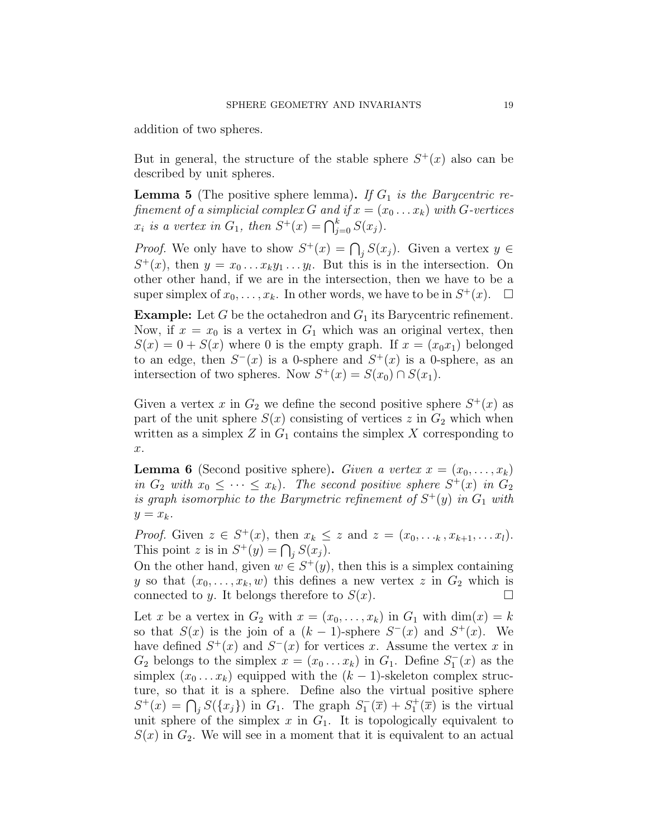addition of two spheres.

But in general, the structure of the stable sphere  $S^+(x)$  also can be described by unit spheres.

**Lemma 5** (The positive sphere lemma). If  $G_1$  is the Barycentric refinement of a simplicial complex G and if  $x = (x_0 \dots x_k)$  with G-vertices  $x_i$  is a vertex in  $G_1$ , then  $S^+(x) = \bigcap_{j=0}^k S(x_j)$ .

*Proof.* We only have to show  $S^+(x) = \bigcap_j S(x_j)$ . Given a vertex  $y \in$  $S^+(x)$ , then  $y = x_0 \dots x_k y_1 \dots y_l$ . But this is in the intersection. On other other hand, if we are in the intersection, then we have to be a super simplex of  $x_0, \ldots, x_k$ . In other words, we have to be in  $S^+(x)$ .  $\Box$ 

**Example:** Let G be the octahedron and  $G_1$  its Barycentric refinement. Now, if  $x = x_0$  is a vertex in  $G_1$  which was an original vertex, then  $S(x) = 0 + S(x)$  where 0 is the empty graph. If  $x = (x_0 x_1)$  belonged to an edge, then  $S^{-}(x)$  is a 0-sphere and  $S^{+}(x)$  is a 0-sphere, as an intersection of two spheres. Now  $S^+(x) = S(x_0) \cap S(x_1)$ .

Given a vertex x in  $G_2$  we define the second positive sphere  $S^+(x)$  as part of the unit sphere  $S(x)$  consisting of vertices z in  $G_2$  which when written as a simplex  $Z$  in  $G_1$  contains the simplex  $X$  corresponding to x.

**Lemma 6** (Second positive sphere). Given a vertex  $x = (x_0, \ldots, x_k)$ in  $G_2$  with  $x_0 \leq \cdots \leq x_k$ . The second positive sphere  $S^+(x)$  in  $G_2$ is graph isomorphic to the Barymetric refinement of  $S^+(y)$  in  $G_1$  with  $y = x_k$ .

*Proof.* Given  $z \in S^+(x)$ , then  $x_k \leq z$  and  $z = (x_0, \ldots, x_{k+1}, \ldots, x_l)$ . This point z is in  $S^+(y) = \bigcap_j S(x_j)$ .

On the other hand, given  $w \in S^+(y)$ , then this is a simplex containing y so that  $(x_0, \ldots, x_k, w)$  this defines a new vertex z in  $G_2$  which is connected to y. It belongs therefore to  $S(x)$ .

Let x be a vertex in  $G_2$  with  $x = (x_0, \ldots, x_k)$  in  $G_1$  with  $\dim(x) = k$ so that  $S(x)$  is the join of a  $(k-1)$ -sphere  $S^{-}(x)$  and  $S^{+}(x)$ . We have defined  $S^+(x)$  and  $S^-(x)$  for vertices x. Assume the vertex x in  $G_2$  belongs to the simplex  $x = (x_0 \dots x_k)$  in  $G_1$ . Define  $S_1^-(x)$  as the simplex  $(x_0 \ldots x_k)$  equipped with the  $(k-1)$ -skeleton complex structure, so that it is a sphere. Define also the virtual positive sphere  $S^+(x) = \bigcap_j S(\lbrace x_j \rbrace)$  in  $G_1$ . The graph  $S^-_1(\overline{x}) + S^+_1(\overline{x})$  is the virtual unit sphere of the simplex  $x$  in  $G_1$ . It is topologically equivalent to  $S(x)$  in  $G_2$ . We will see in a moment that it is equivalent to an actual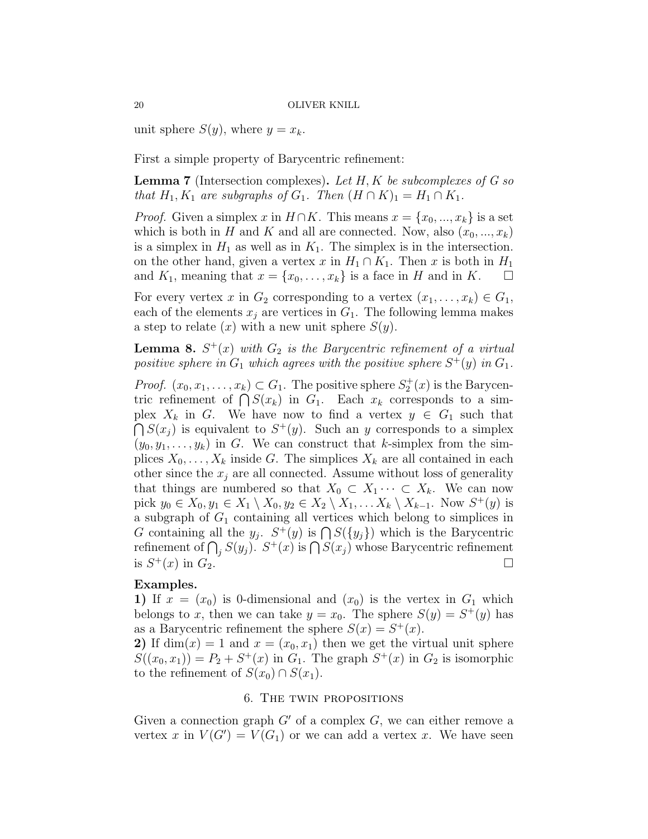unit sphere  $S(y)$ , where  $y = x_k$ .

First a simple property of Barycentric refinement:

**Lemma 7** (Intersection complexes). Let  $H, K$  be subcomplexes of G so that  $H_1, K_1$  are subgraphs of  $G_1$ . Then  $(H \cap K)_1 = H_1 \cap K_1$ .

*Proof.* Given a simplex x in  $H \cap K$ . This means  $x = \{x_0, ..., x_k\}$  is a set which is both in H and K and all are connected. Now, also  $(x_0, ..., x_k)$ is a simplex in  $H_1$  as well as in  $K_1$ . The simplex is in the intersection. on the other hand, given a vertex x in  $H_1 \cap K_1$ . Then x is both in  $H_1$ and  $K_1$ , meaning that  $x = \{x_0, \ldots, x_k\}$  is a face in H and in K.

For every vertex x in  $G_2$  corresponding to a vertex  $(x_1, \ldots, x_k) \in G_1$ , each of the elements  $x_j$  are vertices in  $G_1$ . The following lemma makes a step to relate  $(x)$  with a new unit sphere  $S(y)$ .

**Lemma 8.**  $S^+(x)$  with  $G_2$  is the Barycentric refinement of a virtual positive sphere in  $G_1$  which agrees with the positive sphere  $S^+(y)$  in  $G_1$ .

*Proof.*  $(x_0, x_1, \ldots, x_k) \subset G_1$ . The positive sphere  $S_2^+(x)$  is the Barycentric refinement of  $\bigcap S(x_k)$  in  $G_1$ . Each  $x_k$  corresponds to a simplex  $X_k$  in G. We have now to find a vertex  $y \in G_1$  such that  $\bigcap S(x_j)$  is equivalent to  $S^+(y)$ . Such an y corresponds to a simplex  $(y_0, y_1, \ldots, y_k)$  in G. We can construct that k-simplex from the simplices  $X_0, \ldots, X_k$  inside G. The simplices  $X_k$  are all contained in each other since the  $x_i$  are all connected. Assume without loss of generality that things are numbered so that  $X_0 \subset X_1 \cdots \subset X_k$ . We can now pick  $y_0 \in X_0, y_1 \in X_1 \setminus X_0, y_2 \in X_2 \setminus X_1, \ldots X_k \setminus X_{k-1}$ . Now  $S^+(y)$  is a subgraph of  $G_1$  containing all vertices which belong to simplices in G containing all the  $y_j$ .  $S^+(y)$  is  $\bigcap S({y_j})$  which is the Barycentric refinement of  $\bigcap_j S(y_j)$ .  $S^+(x)$  is  $\bigcap S(x_j)$  whose Barycentric refinement is  $S^+(x)$  in  $G_2$ .

# Examples.

1) If  $x = (x_0)$  is 0-dimensional and  $(x_0)$  is the vertex in  $G_1$  which belongs to x, then we can take  $y = x_0$ . The sphere  $S(y) = S^{+}(y)$  has as a Barycentric refinement the sphere  $S(x) = S^{+}(x)$ .

2) If  $\dim(x) = 1$  and  $x = (x_0, x_1)$  then we get the virtual unit sphere  $S((x_0, x_1)) = P_2 + S^+(x)$  in  $G_1$ . The graph  $S^+(x)$  in  $G_2$  is isomorphic to the refinement of  $S(x_0) \cap S(x_1)$ .

# 6. The twin propositions

Given a connection graph  $G'$  of a complex  $G$ , we can either remove a vertex x in  $V(G') = V(G_1)$  or we can add a vertex x. We have seen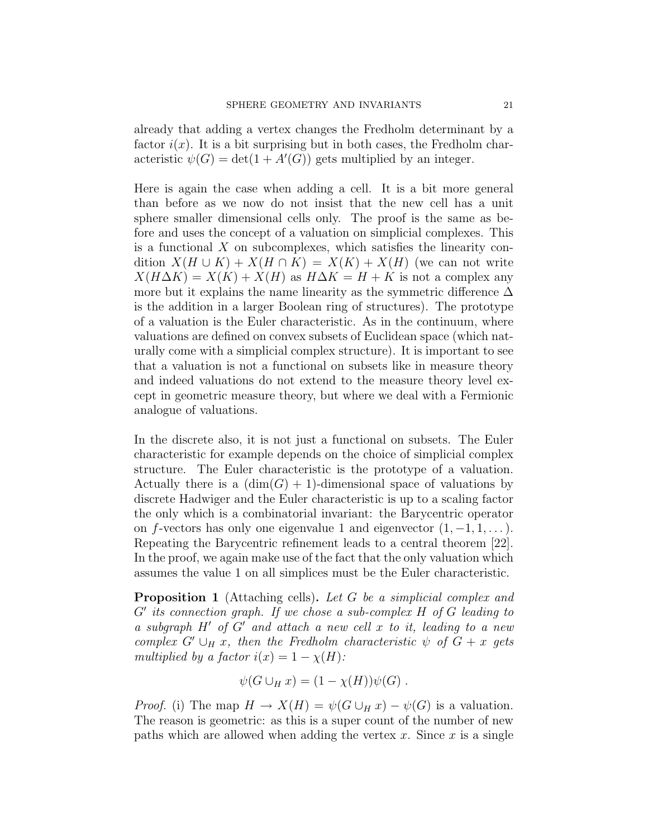already that adding a vertex changes the Fredholm determinant by a factor  $i(x)$ . It is a bit surprising but in both cases, the Fredholm characteristic  $\psi(G) = \det(1 + A'(G))$  gets multiplied by an integer.

Here is again the case when adding a cell. It is a bit more general than before as we now do not insist that the new cell has a unit sphere smaller dimensional cells only. The proof is the same as before and uses the concept of a valuation on simplicial complexes. This is a functional  $X$  on subcomplexes, which satisfies the linearity condition  $X(H \cup K) + X(H \cap K) = X(K) + X(H)$  (we can not write  $X(H\Delta K) = X(K) + X(H)$  as  $H\Delta K = H + K$  is not a complex any more but it explains the name linearity as the symmetric difference  $\Delta$ is the addition in a larger Boolean ring of structures). The prototype of a valuation is the Euler characteristic. As in the continuum, where valuations are defined on convex subsets of Euclidean space (which naturally come with a simplicial complex structure). It is important to see that a valuation is not a functional on subsets like in measure theory and indeed valuations do not extend to the measure theory level except in geometric measure theory, but where we deal with a Fermionic analogue of valuations.

In the discrete also, it is not just a functional on subsets. The Euler characteristic for example depends on the choice of simplicial complex structure. The Euler characteristic is the prototype of a valuation. Actually there is a  $(\dim(G) + 1)$ -dimensional space of valuations by discrete Hadwiger and the Euler characteristic is up to a scaling factor the only which is a combinatorial invariant: the Barycentric operator on f-vectors has only one eigenvalue 1 and eigenvector  $(1, -1, 1, \dots)$ . Repeating the Barycentric refinement leads to a central theorem [22]. In the proof, we again make use of the fact that the only valuation which assumes the value 1 on all simplices must be the Euler characteristic.

**Proposition 1** (Attaching cells). Let G be a simplicial complex and  $G'$  its connection graph. If we chose a sub-complex  $H$  of  $G$  leading to a subgraph  $H'$  of  $G'$  and attach a new cell x to it, leading to a new complex  $G' \cup_H x$ , then the Fredholm characteristic  $\psi$  of  $G + x$  gets multiplied by a factor  $i(x) = 1 - \chi(H)$ :

$$
\psi(G \cup_H x) = (1 - \chi(H))\psi(G) .
$$

*Proof.* (i) The map  $H \to X(H) = \psi(G \cup_H x) - \psi(G)$  is a valuation. The reason is geometric: as this is a super count of the number of new paths which are allowed when adding the vertex  $x$ . Since  $x$  is a single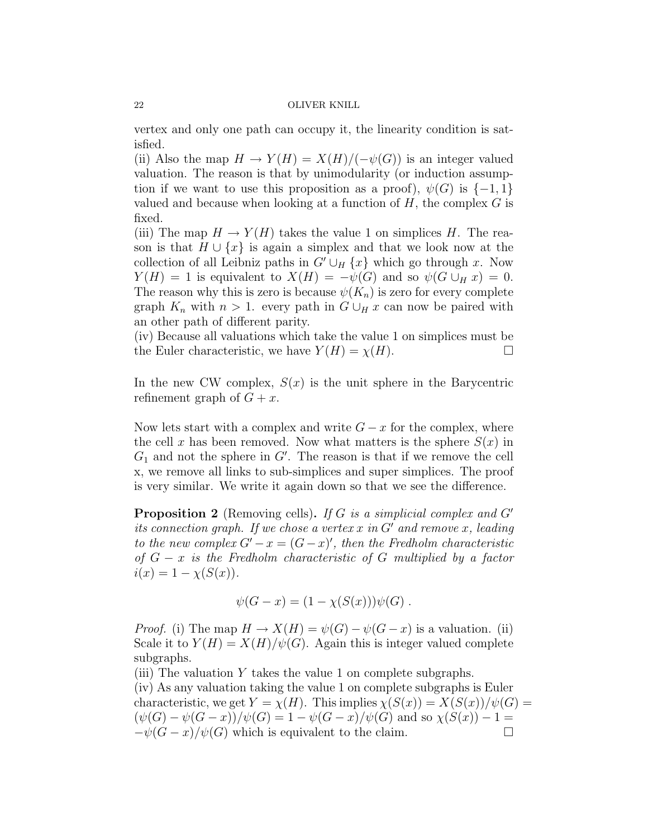vertex and only one path can occupy it, the linearity condition is satisfied.

(ii) Also the map  $H \to Y(H) = X(H)/(-\psi(G))$  is an integer valued valuation. The reason is that by unimodularity (or induction assumption if we want to use this proposition as a proof),  $\psi(G)$  is  $\{-1,1\}$ valued and because when looking at a function of  $H$ , the complex  $G$  is fixed.

(iii) The map  $H \to Y(H)$  takes the value 1 on simplices H. The reason is that  $H \cup \{x\}$  is again a simplex and that we look now at the collection of all Leibniz paths in  $G' \cup_H \{x\}$  which go through x. Now  $Y(H) = 1$  is equivalent to  $X(H) = -\psi(G)$  and so  $\psi(G \cup_H x) = 0$ . The reason why this is zero is because  $\psi(K_n)$  is zero for every complete graph  $K_n$  with  $n > 1$ . every path in  $G \cup_H x$  can now be paired with an other path of different parity.

(iv) Because all valuations which take the value 1 on simplices must be the Euler characteristic, we have  $Y(H) = \chi(H)$ .

In the new CW complex,  $S(x)$  is the unit sphere in the Barycentric refinement graph of  $G + x$ .

Now lets start with a complex and write  $G - x$  for the complex, where the cell x has been removed. Now what matters is the sphere  $S(x)$  in  $G_1$  and not the sphere in  $G'$ . The reason is that if we remove the cell x, we remove all links to sub-simplices and super simplices. The proof is very similar. We write it again down so that we see the difference.

**Proposition 2** (Removing cells). If G is a simplicial complex and  $G'$ its connection graph. If we chose a vertex x in  $G'$  and remove x, leading to the new complex  $G'-x = (G-x)'$ , then the Fredholm characteristic of  $G - x$  is the Fredholm characteristic of G multiplied by a factor  $i(x) = 1 - \chi(S(x)).$ 

$$
\psi(G - x) = (1 - \chi(S(x)))\psi(G) .
$$

*Proof.* (i) The map  $H \to X(H) = \psi(G) - \psi(G - x)$  is a valuation. (ii) Scale it to  $Y(H) = X(H)/\psi(G)$ . Again this is integer valued complete subgraphs.

(iii) The valuation  $Y$  takes the value 1 on complete subgraphs. (iv) As any valuation taking the value 1 on complete subgraphs is Euler characteristic, we get  $Y = \chi(H)$ . This implies  $\chi(S(x)) = X(S(x))/\psi(G)$  $(\psi(G) - \psi(G - x))/\psi(G) = 1 - \psi(G - x)/\psi(G)$  and so  $\chi(S(x)) - 1 =$  $-\psi(G-x)/\psi(G)$  which is equivalent to the claim.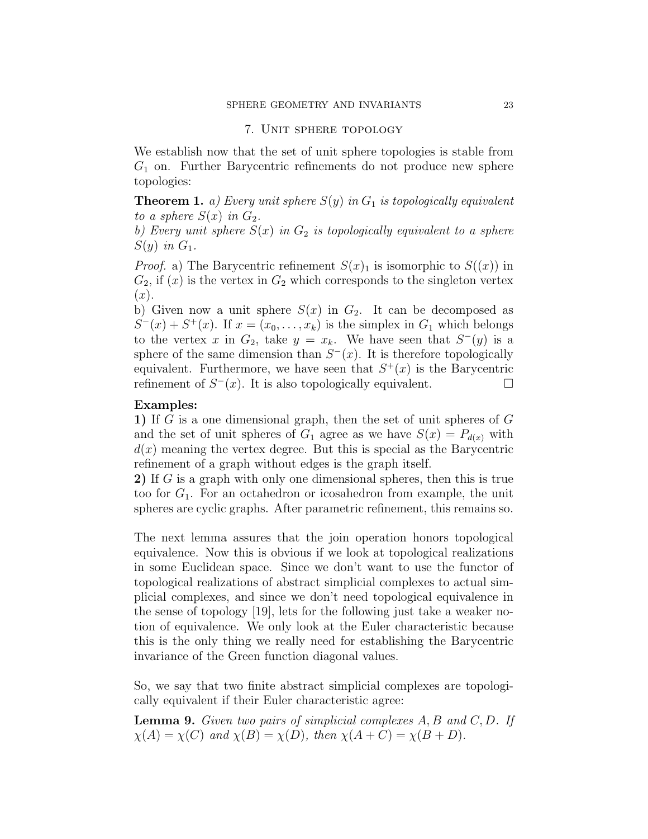# 7. Unit sphere topology

We establish now that the set of unit sphere topologies is stable from  $G_1$  on. Further Barycentric refinements do not produce new sphere topologies:

**Theorem 1.** a) Every unit sphere  $S(y)$  in  $G_1$  is topologically equivalent to a sphere  $S(x)$  in  $G_2$ .

b) Every unit sphere  $S(x)$  in  $G_2$  is topologically equivalent to a sphere  $S(y)$  in  $G_1$ .

*Proof.* a) The Barycentric refinement  $S(x)_1$  is isomorphic to  $S((x))$  in  $G_2$ , if  $(x)$  is the vertex in  $G_2$  which corresponds to the singleton vertex  $(x).$ 

b) Given now a unit sphere  $S(x)$  in  $G_2$ . It can be decomposed as  $S^-(x) + S^+(x)$ . If  $x = (x_0, \ldots, x_k)$  is the simplex in  $G_1$  which belongs to the vertex x in  $G_2$ , take  $y = x_k$ . We have seen that  $S^-(y)$  is a sphere of the same dimension than  $S<sup>-</sup>(x)$ . It is therefore topologically equivalent. Furthermore, we have seen that  $S^+(x)$  is the Barycentric refinement of  $S^-(x)$ . It is also topologically equivalent.

# Examples:

1) If G is a one dimensional graph, then the set of unit spheres of G and the set of unit spheres of  $G_1$  agree as we have  $S(x) = P_{d(x)}$  with  $d(x)$  meaning the vertex degree. But this is special as the Barycentric refinement of a graph without edges is the graph itself.

2) If G is a graph with only one dimensional spheres, then this is true too for  $G_1$ . For an octahedron or icosahedron from example, the unit spheres are cyclic graphs. After parametric refinement, this remains so.

The next lemma assures that the join operation honors topological equivalence. Now this is obvious if we look at topological realizations in some Euclidean space. Since we don't want to use the functor of topological realizations of abstract simplicial complexes to actual simplicial complexes, and since we don't need topological equivalence in the sense of topology [19], lets for the following just take a weaker notion of equivalence. We only look at the Euler characteristic because this is the only thing we really need for establishing the Barycentric invariance of the Green function diagonal values.

So, we say that two finite abstract simplicial complexes are topologically equivalent if their Euler characteristic agree:

**Lemma 9.** Given two pairs of simplicial complexes  $A, B$  and  $C, D$ . If  $\chi(A) = \chi(C)$  and  $\chi(B) = \chi(D)$ , then  $\chi(A+C) = \chi(B+D)$ .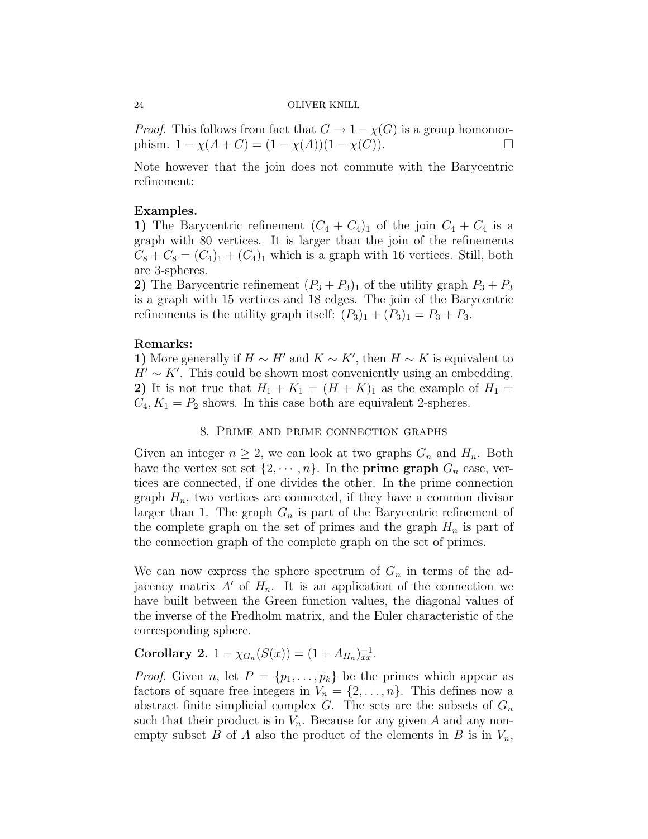*Proof.* This follows from fact that  $G \to 1 - \chi(G)$  is a group homomorphism.  $1 - \chi(A + C) = (1 - \chi(A))(1 - \chi(C)).$ 

Note however that the join does not commute with the Barycentric refinement:

# Examples.

1) The Barycentric refinement  $(C_4 + C_4)_1$  of the join  $C_4 + C_4$  is a graph with 80 vertices. It is larger than the join of the refinements  $C_8 + C_8 = (C_4)_1 + (C_4)_1$  which is a graph with 16 vertices. Still, both are 3-spheres.

2) The Barycentric refinement  $(P_3 + P_3)_1$  of the utility graph  $P_3 + P_3$ is a graph with 15 vertices and 18 edges. The join of the Barycentric refinements is the utility graph itself:  $(P_3)_1 + (P_3)_1 = P_3 + P_3$ .

# Remarks:

1) More generally if  $H \sim H'$  and  $K \sim K'$ , then  $H \sim K$  is equivalent to  $H' \sim K'$ . This could be shown most conveniently using an embedding. 2) It is not true that  $H_1 + K_1 = (H + K)_1$  as the example of  $H_1 =$  $C_4, K_1 = P_2$  shows. In this case both are equivalent 2-spheres.

# 8. Prime and prime connection graphs

Given an integer  $n \geq 2$ , we can look at two graphs  $G_n$  and  $H_n$ . Both have the vertex set set  $\{2, \dots, n\}$ . In the **prime graph**  $G_n$  case, vertices are connected, if one divides the other. In the prime connection graph  $H_n$ , two vertices are connected, if they have a common divisor larger than 1. The graph  $G_n$  is part of the Barycentric refinement of the complete graph on the set of primes and the graph  $H_n$  is part of the connection graph of the complete graph on the set of primes.

We can now express the sphere spectrum of  $G_n$  in terms of the adjacency matrix  $A'$  of  $H_n$ . It is an application of the connection we have built between the Green function values, the diagonal values of the inverse of the Fredholm matrix, and the Euler characteristic of the corresponding sphere.

# Corollary 2.  $1 - \chi_{G_n}(S(x)) = (1 + A_{H_n})_{xx}^{-1}$ .

*Proof.* Given n, let  $P = \{p_1, \ldots, p_k\}$  be the primes which appear as factors of square free integers in  $V_n = \{2, \ldots, n\}$ . This defines now a abstract finite simplicial complex  $G$ . The sets are the subsets of  $G_n$ such that their product is in  $V_n$ . Because for any given A and any nonempty subset B of A also the product of the elements in B is in  $V_n$ ,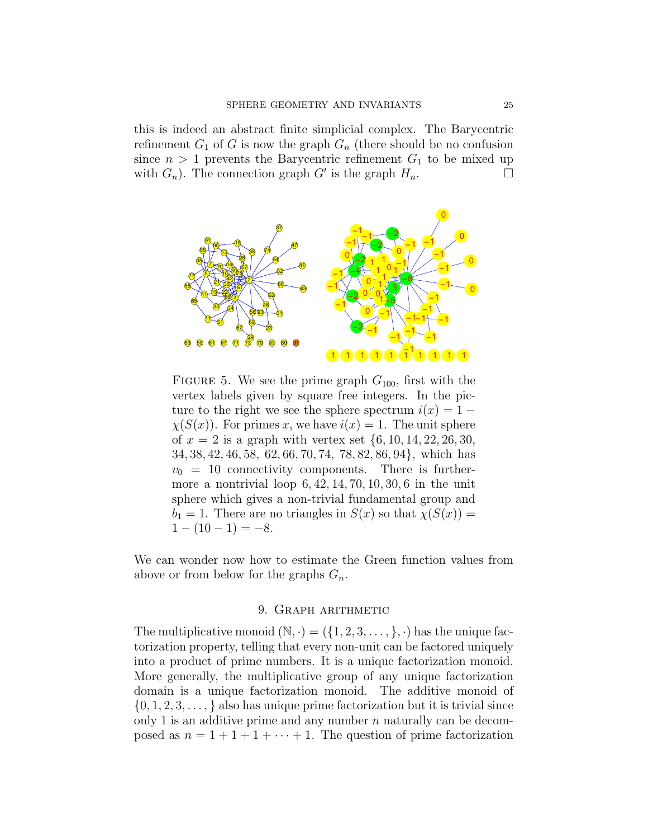this is indeed an abstract finite simplicial complex. The Barycentric refinement  $G_1$  of G is now the graph  $G_n$  (there should be no confusion since  $n > 1$  prevents the Barycentric refinement  $G_1$  to be mixed up with  $G_n$ ). The connection graph  $G'$  is the graph  $H_n$ .



FIGURE 5. We see the prime graph  $G_{100}$ , first with the vertex labels given by square free integers. In the picture to the right we see the sphere spectrum  $i(x) = 1 \chi(S(x))$ . For primes x, we have  $i(x) = 1$ . The unit sphere of  $x = 2$  is a graph with vertex set  $\{6, 10, 14, 22, 26, 30, \ldots\}$ 34, 38, 42, 46, 58, 62, 66, 70, 74, 78, 82, 86, 94}, which has  $v_0 = 10$  connectivity components. There is furthermore a nontrivial loop  $6, 42, 14, 70, 10, 30, 6$  in the unit sphere which gives a non-trivial fundamental group and  $b_1 = 1$ . There are no triangles in  $S(x)$  so that  $\chi(S(x)) =$  $1 - (10 - 1) = -8.$ 

We can wonder now how to estimate the Green function values from above or from below for the graphs  $G_n$ .

# 9. Graph arithmetic

The multiplicative monoid  $(N, \cdot) = (\{1, 2, 3, \ldots, \}, \cdot)$  has the unique factorization property, telling that every non-unit can be factored uniquely into a product of prime numbers. It is a unique factorization monoid. More generally, the multiplicative group of any unique factorization domain is a unique factorization monoid. The additive monoid of  $\{0, 1, 2, 3, \ldots\}$  also has unique prime factorization but it is trivial since only 1 is an additive prime and any number  $n$  naturally can be decomposed as  $n = 1 + 1 + 1 + \cdots + 1$ . The question of prime factorization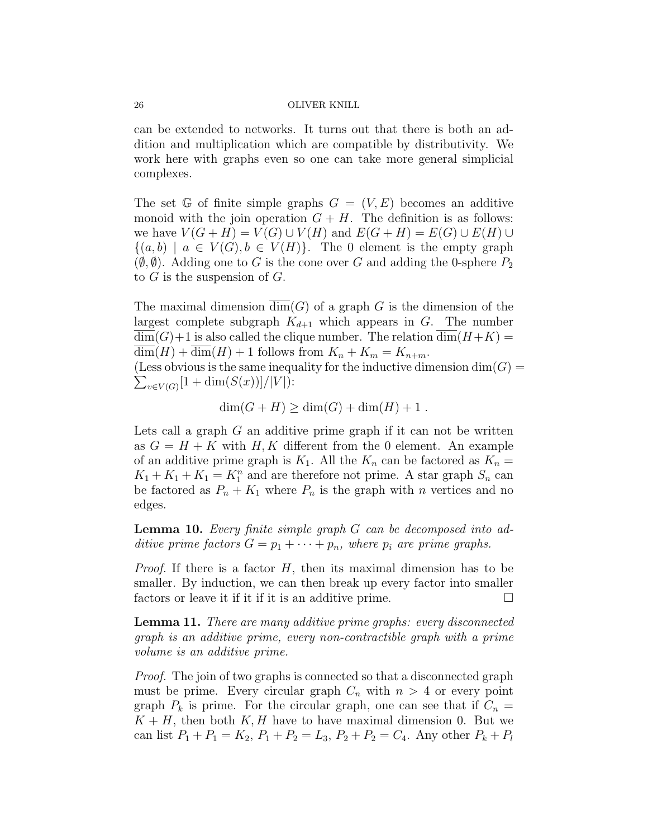can be extended to networks. It turns out that there is both an addition and multiplication which are compatible by distributivity. We work here with graphs even so one can take more general simplicial complexes.

The set G of finite simple graphs  $G = (V, E)$  becomes an additive monoid with the join operation  $G + H$ . The definition is as follows: we have  $V(G + H) = V(G) \cup V(H)$  and  $E(G + H) = E(G) \cup E(H) \cup$  $\{(a, b) \mid a \in V(G), b \in V(H)\}.$  The 0 element is the empty graph  $(\emptyset, \emptyset)$ . Adding one to G is the cone over G and adding the 0-sphere  $P_2$ to  $G$  is the suspension of  $G$ .

The maximal dimension  $dim(G)$  of a graph G is the dimension of the largest complete subgraph  $K_{d+1}$  which appears in G. The number  $\dim(G)+1$  is also called the clique number. The relation  $\dim(H+K)$  $\overline{\dim}(H) + \overline{\dim}(H) + 1$  follows from  $K_n + K_m = K_{n+m}$ .

(Less obvious is the same inequality for the inductive dimension  $\dim(G)$  $\sum_{v \in V(G)} [1 + \dim(S(x))]/|V|$ :

$$
\dim(G+H) \ge \dim(G) + \dim(H) + 1.
$$

Lets call a graph  $G$  an additive prime graph if it can not be written as  $G = H + K$  with H, K different from the 0 element. An example of an additive prime graph is  $K_1$ . All the  $K_n$  can be factored as  $K_n =$  $K_1 + K_1 + K_1 = K_1^n$  and are therefore not prime. A star graph  $S_n$  can be factored as  $P_n + K_1$  where  $P_n$  is the graph with n vertices and no edges.

Lemma 10. Every finite simple graph G can be decomposed into additive prime factors  $G = p_1 + \cdots + p_n$ , where  $p_i$  are prime graphs.

*Proof.* If there is a factor  $H$ , then its maximal dimension has to be smaller. By induction, we can then break up every factor into smaller factors or leave it if it if it is an additive prime.

Lemma 11. There are many additive prime graphs: every disconnected graph is an additive prime, every non-contractible graph with a prime volume is an additive prime.

Proof. The join of two graphs is connected so that a disconnected graph must be prime. Every circular graph  $C_n$  with  $n > 4$  or every point graph  $P_k$  is prime. For the circular graph, one can see that if  $C_n =$  $K + H$ , then both  $K, H$  have to have maximal dimension 0. But we can list  $P_1 + P_1 = K_2$ ,  $P_1 + P_2 = L_3$ ,  $P_2 + P_2 = C_4$ . Any other  $P_k + P_l$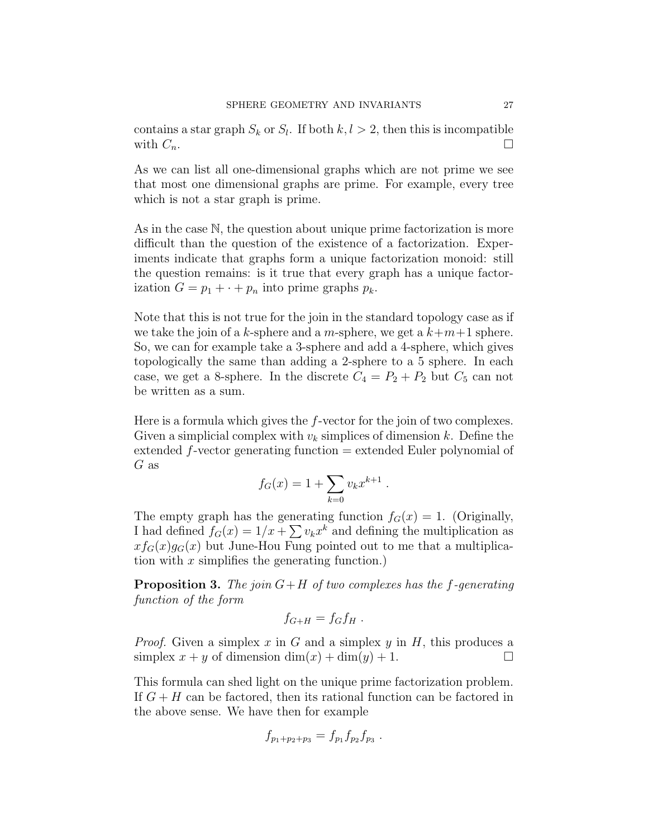contains a star graph  $S_k$  or  $S_l$ . If both  $k, l > 2$ , then this is incompatible with  $C_n$ .

As we can list all one-dimensional graphs which are not prime we see that most one dimensional graphs are prime. For example, every tree which is not a star graph is prime.

As in the case N, the question about unique prime factorization is more difficult than the question of the existence of a factorization. Experiments indicate that graphs form a unique factorization monoid: still the question remains: is it true that every graph has a unique factorization  $G = p_1 + \cdots + p_n$  into prime graphs  $p_k$ .

Note that this is not true for the join in the standard topology case as if we take the join of a k-sphere and a m-sphere, we get a  $k+m+1$  sphere. So, we can for example take a 3-sphere and add a 4-sphere, which gives topologically the same than adding a 2-sphere to a 5 sphere. In each case, we get a 8-sphere. In the discrete  $C_4 = P_2 + P_2$  but  $C_5$  can not be written as a sum.

Here is a formula which gives the f-vector for the join of two complexes. Given a simplicial complex with  $v_k$  simplices of dimension k. Define the extended f-vector generating function = extended Euler polynomial of G as

$$
f_G(x) = 1 + \sum_{k=0} v_k x^{k+1} .
$$

The empty graph has the generating function  $f<sub>G</sub>(x) = 1$ . (Originally, I had defined  $f_G(x) = 1/x + \sum v_k x^k$  and defining the multiplication as  $x f_G(x) g_G(x)$  but June-Hou Fung pointed out to me that a multiplication with  $x$  simplifies the generating function.)

**Proposition 3.** The join  $G+H$  of two complexes has the f-generating function of the form

$$
f_{G+H}=f_Gf_H.
$$

*Proof.* Given a simplex x in G and a simplex y in H, this produces a simplex  $x + y$  of dimension  $\dim(x) + \dim(y) + 1$ .

This formula can shed light on the unique prime factorization problem. If  $G + H$  can be factored, then its rational function can be factored in the above sense. We have then for example

$$
f_{p_1+p_2+p_3}=f_{p_1}f_{p_2}f_{p_3}.
$$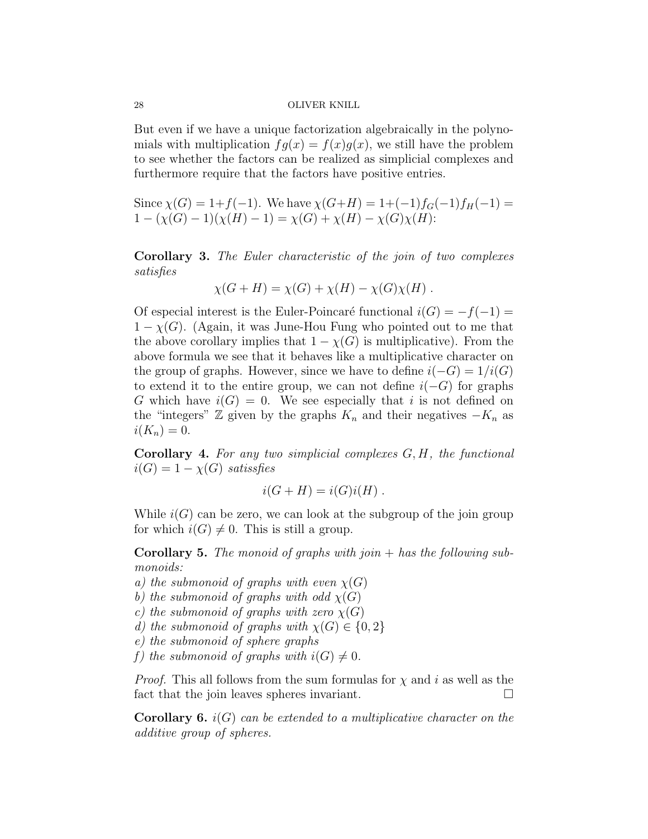But even if we have a unique factorization algebraically in the polynomials with multiplication  $fg(x) = f(x)g(x)$ , we still have the problem to see whether the factors can be realized as simplicial complexes and furthermore require that the factors have positive entries.

Since  $\chi(G) = 1+f(-1)$ . We have  $\chi(G+H) = 1+(-1)f_G(-1)f_H(-1) =$  $1 - (\chi(G) - 1)(\chi(H) - 1) = \chi(G) + \chi(H) - \chi(G)\chi(H)$ :

Corollary 3. The Euler characteristic of the join of two complexes satisfies

$$
\chi(G+H) = \chi(G) + \chi(H) - \chi(G)\chi(H) .
$$

Of especial interest is the Euler-Poincaré functional  $i(G) = -f(-1) =$  $1 - \chi(G)$ . (Again, it was June-Hou Fung who pointed out to me that the above corollary implies that  $1 - \chi(G)$  is multiplicative). From the above formula we see that it behaves like a multiplicative character on the group of graphs. However, since we have to define  $i(-G) = 1/i(G)$ to extend it to the entire group, we can not define  $i(-G)$  for graphs G which have  $i(G) = 0$ . We see especially that i is not defined on the "integers"  $\mathbb Z$  given by the graphs  $K_n$  and their negatives  $-K_n$  as  $i(K_n) = 0.$ 

**Corollary 4.** For any two simplicial complexes  $G, H$ , the functional  $i(G) = 1 - \chi(G)$  satissfies

$$
i(G+H) = i(G)i(H) .
$$

While  $i(G)$  can be zero, we can look at the subgroup of the join group for which  $i(G) \neq 0$ . This is still a group.

**Corollary 5.** The monoid of graphs with join  $+$  has the following submonoids:

- a) the submonoid of graphs with even  $\chi(G)$
- b) the submonoid of graphs with odd  $\chi(G)$
- c) the submonoid of graphs with zero  $\chi(G)$
- d) the submonoid of graphs with  $\chi(G) \in \{0,2\}$

e) the submonoid of sphere graphs

f) the submonoid of graphs with  $i(G) \neq 0$ .

*Proof.* This all follows from the sum formulas for  $\chi$  and i as well as the fact that the join leaves spheres invariant.  $\Box$ 

**Corollary 6.**  $i(G)$  can be extended to a multiplicative character on the additive group of spheres.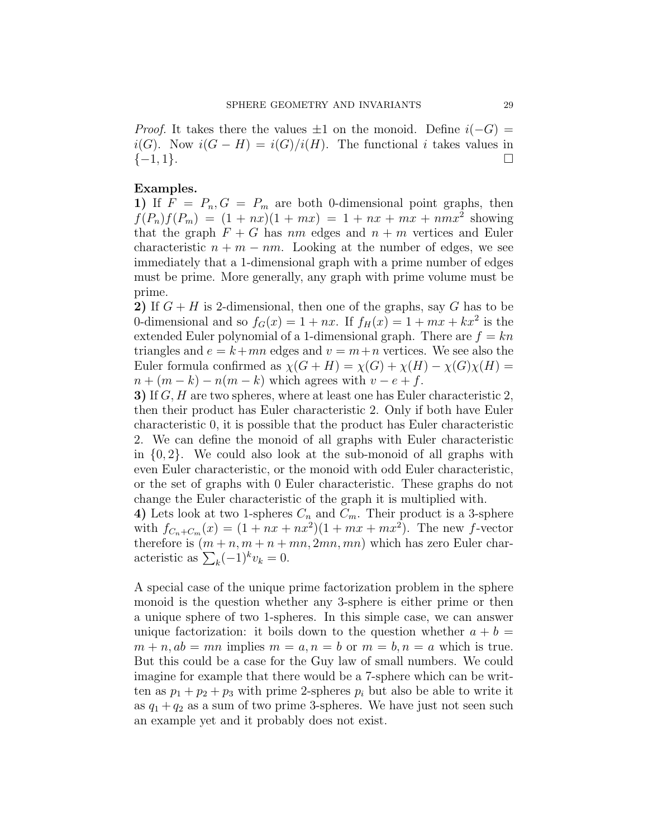*Proof.* It takes there the values  $\pm 1$  on the monoid. Define  $i(-G)$  =  $i(G)$ . Now  $i(G - H) = i(G)/i(H)$ . The functional i takes values in  $\{-1, 1\}.$ 

# Examples.

1) If  $\overline{F} = P_n, G = P_m$  are both 0-dimensional point graphs, then  $f(P_n)f(P_m) = (1 + nx)(1 + mx) = 1 + nx + mx + nmx^2$  showing that the graph  $F + G$  has nm edges and  $n + m$  vertices and Euler characteristic  $n + m - nm$ . Looking at the number of edges, we see immediately that a 1-dimensional graph with a prime number of edges must be prime. More generally, any graph with prime volume must be prime.

2) If  $G + H$  is 2-dimensional, then one of the graphs, say G has to be 0-dimensional and so  $f_G(x) = 1 + nx$ . If  $f_H(x) = 1 + mx + kx^2$  is the extended Euler polynomial of a 1-dimensional graph. There are  $f = kn$ triangles and  $e = k + mn$  edges and  $v = m+n$  vertices. We see also the Euler formula confirmed as  $\chi(G+H) = \chi(G) + \chi(H) - \chi(G)\chi(H) =$  $n + (m - k) - n(m - k)$  which agrees with  $v - e + f$ .

3) If G, H are two spheres, where at least one has Euler characteristic 2, then their product has Euler characteristic 2. Only if both have Euler characteristic 0, it is possible that the product has Euler characteristic 2. We can define the monoid of all graphs with Euler characteristic in  $\{0, 2\}$ . We could also look at the sub-monoid of all graphs with even Euler characteristic, or the monoid with odd Euler characteristic, or the set of graphs with 0 Euler characteristic. These graphs do not change the Euler characteristic of the graph it is multiplied with.

4) Lets look at two 1-spheres  $C_n$  and  $C_m$ . Their product is a 3-sphere with  $f_{C_n+C_m}(x) = (1 + nx + nx^2)(1 + mx + mx^2)$ . The new f-vector therefore is  $(m + n, m + n + mn, 2mn, mn)$  which has zero Euler characteristic as  $\sum_{k} (-1)^{k} v_k = 0$ .

A special case of the unique prime factorization problem in the sphere monoid is the question whether any 3-sphere is either prime or then a unique sphere of two 1-spheres. In this simple case, we can answer unique factorization: it boils down to the question whether  $a + b =$  $m + n$ ,  $ab = mn$  implies  $m = a$ ,  $n = b$  or  $m = b$ ,  $n = a$  which is true. But this could be a case for the Guy law of small numbers. We could imagine for example that there would be a 7-sphere which can be written as  $p_1 + p_2 + p_3$  with prime 2-spheres  $p_i$  but also be able to write it as  $q_1 + q_2$  as a sum of two prime 3-spheres. We have just not seen such an example yet and it probably does not exist.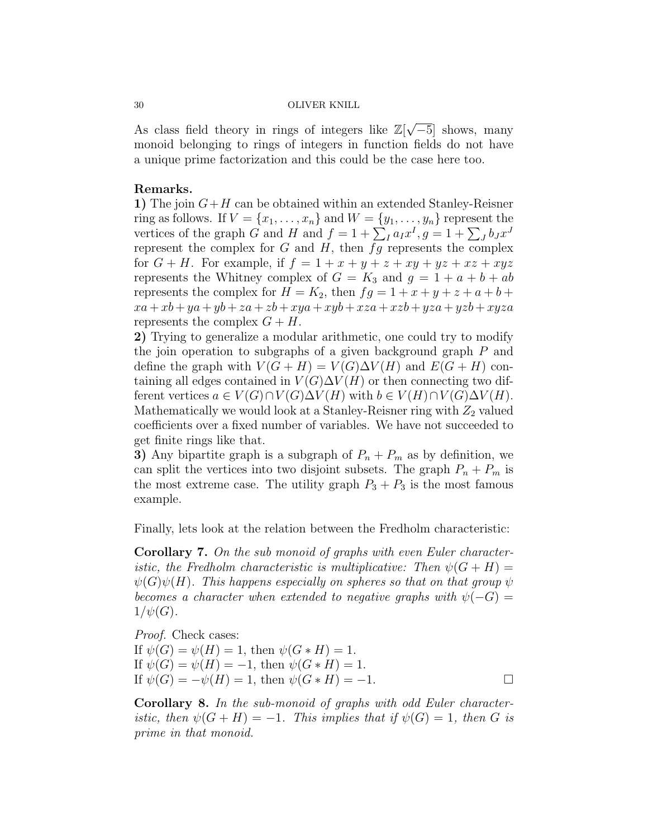As class field theory in rings of integers like  $\mathbb{Z}[\sqrt{\ }$ −5] shows, many monoid belonging to rings of integers in function fields do not have a unique prime factorization and this could be the case here too.

# Remarks.

1) The join  $G+H$  can be obtained within an extended Stanley-Reisner ring as follows. If  $V = \{x_1, \ldots, x_n\}$  and  $W = \{y_1, \ldots, y_n\}$  represent the vertices of the graph G and H and  $f = 1 + \sum_I a_I x^I$ ,  $g = 1 + \sum_J b_J x^J$ represent the complex for  $G$  and  $H$ , then  $fg$  represents the complex for  $G + H$ . For example, if  $f = 1 + x + y + z + xy + yz + xz + xyz$ represents the Whitney complex of  $G = K_3$  and  $g = 1 + a + b + ab$ represents the complex for  $H = K_2$ , then  $fg = 1 + x + y + z + a + b +$  $xa + xb + ya + yb + za + zb + xyza + xyb + xza + xzb + yza + yzb + xyza$ represents the complex  $G + H$ .

2) Trying to generalize a modular arithmetic, one could try to modify the join operation to subgraphs of a given background graph P and define the graph with  $V(G + H) = V(G)\Delta V(H)$  and  $E(G + H)$  containing all edges contained in  $V(G)\Delta V(H)$  or then connecting two different vertices  $a \in V(G) \cap V(G) \Delta V(H)$  with  $b \in V(H) \cap V(G) \Delta V(H)$ . Mathematically we would look at a Stanley-Reisner ring with  $Z_2$  valued coefficients over a fixed number of variables. We have not succeeded to get finite rings like that.

3) Any bipartite graph is a subgraph of  $P_n + P_m$  as by definition, we can split the vertices into two disjoint subsets. The graph  $P_n + P_m$  is the most extreme case. The utility graph  $P_3 + P_3$  is the most famous example.

Finally, lets look at the relation between the Fredholm characteristic:

Corollary 7. On the sub monoid of graphs with even Euler characteristic, the Fredholm characteristic is multiplicative: Then  $\psi(G+H)$  =  $\psi(G)\psi(H)$ . This happens especially on spheres so that on that group  $\psi$ becomes a character when extended to negative graphs with  $\psi(-G) =$  $1/\psi(G)$ .

Proof. Check cases: If  $\psi(G) = \psi(H) = 1$ , then  $\psi(G * H) = 1$ . If  $\psi(G) = \psi(H) = -1$ , then  $\psi(G * H) = 1$ . If  $\psi(G) = -\psi(H) = 1$ , then  $\psi(G * H) = -1$ .

Corollary 8. In the sub-monoid of graphs with odd Euler characteristic, then  $\psi(G+H) = -1$ . This implies that if  $\psi(G) = 1$ , then G is prime in that monoid.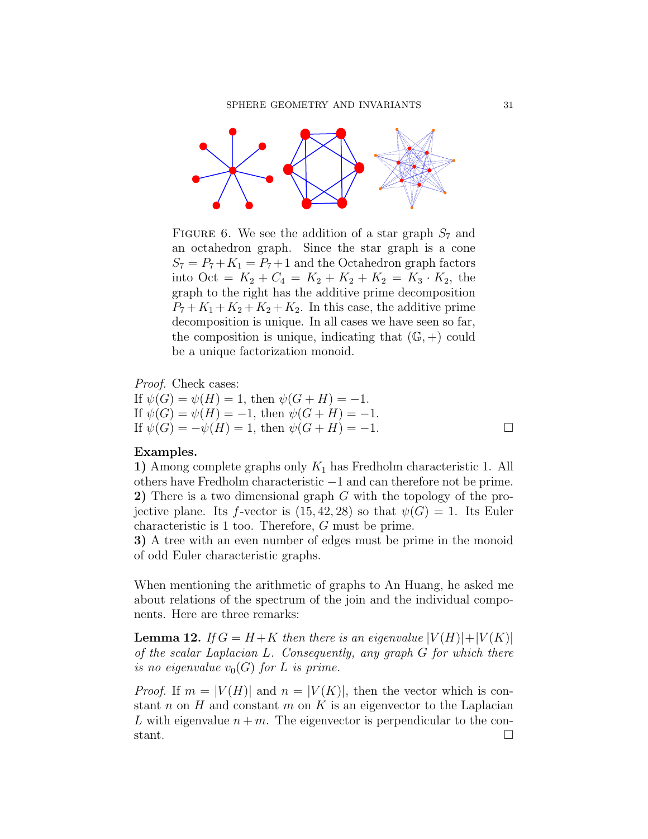

FIGURE 6. We see the addition of a star graph  $S_7$  and an octahedron graph. Since the star graph is a cone  $S_7 = P_7 + K_1 = P_7 + 1$  and the Octahedron graph factors into Oct =  $K_2 + C_4 = K_2 + K_2 + K_2 = K_3 \cdot K_2$ , the graph to the right has the additive prime decomposition  $P_7 + K_1 + K_2 + K_2 + K_3$ . In this case, the additive prime decomposition is unique. In all cases we have seen so far, the composition is unique, indicating that  $(\mathbb{G}, +)$  could be a unique factorization monoid.

Proof. Check cases:

If  $\psi(G) = \psi(H) = 1$ , then  $\psi(G + H) = -1$ . If  $\psi(G) = \psi(H) = -1$ , then  $\psi(G + H) = -1$ . If  $\psi(G) = -\psi(H) = 1$ , then  $\psi(G + H) = -1$ .

# Examples.

1) Among complete graphs only  $K_1$  has Fredholm characteristic 1. All others have Fredholm characteristic −1 and can therefore not be prime. 2) There is a two dimensional graph G with the topology of the projective plane. Its f-vector is  $(15, 42, 28)$  so that  $\psi(G) = 1$ . Its Euler characteristic is 1 too. Therefore, G must be prime.

3) A tree with an even number of edges must be prime in the monoid of odd Euler characteristic graphs.

When mentioning the arithmetic of graphs to An Huang, he asked me about relations of the spectrum of the join and the individual components. Here are three remarks:

**Lemma 12.** If  $G = H + K$  then there is an eigenvalue  $|V(H)| + |V(K)|$ of the scalar Laplacian L. Consequently, any graph G for which there is no eigenvalue  $v_0(G)$  for L is prime.

*Proof.* If  $m = |V(H)|$  and  $n = |V(K)|$ , then the vector which is constant n on H and constant m on K is an eigenvector to the Laplacian L with eigenvalue  $n + m$ . The eigenvector is perpendicular to the constant.  $\Box$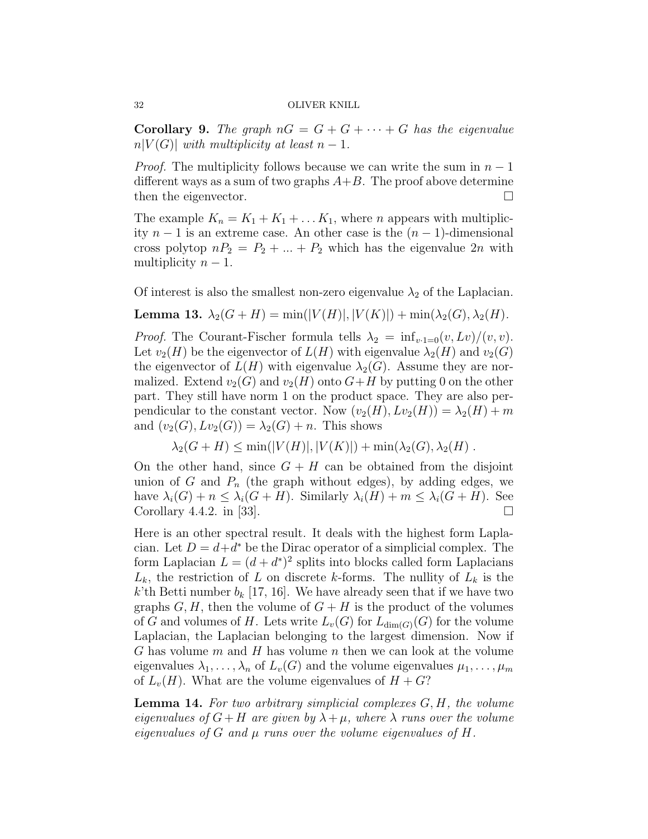**Corollary 9.** The graph  $nG = G + G + \cdots + G$  has the eigenvalue  $n|V(G)|$  with multiplicity at least  $n-1$ .

*Proof.* The multiplicity follows because we can write the sum in  $n-1$ different ways as a sum of two graphs  $A+B$ . The proof above determine then the eigenvector.

The example  $K_n = K_1 + K_1 + \ldots + K_1$ , where *n* appears with multiplicity  $n-1$  is an extreme case. An other case is the  $(n-1)$ -dimensional cross polytop  $nP_2 = P_2 + ... + P_2$  which has the eigenvalue  $2n$  with multiplicity  $n-1$ .

Of interest is also the smallest non-zero eigenvalue  $\lambda_2$  of the Laplacian.

Lemma 13.  $\lambda_2(G+H) = \min(|V(H)|, |V(K)|) + \min(\lambda_2(G), \lambda_2(H)).$ 

*Proof.* The Courant-Fischer formula tells  $\lambda_2 = \inf_{v \cdot 1 = 0} (v, Lv)/(v, v)$ . Let  $v_2(H)$  be the eigenvector of  $L(H)$  with eigenvalue  $\lambda_2(H)$  and  $v_2(G)$ the eigenvector of  $L(H)$  with eigenvalue  $\lambda_2(G)$ . Assume they are normalized. Extend  $v_2(G)$  and  $v_2(H)$  onto  $G+H$  by putting 0 on the other part. They still have norm 1 on the product space. They are also perpendicular to the constant vector. Now  $(v_2(H), Lv_2(H)) = \lambda_2(H) + m$ and  $(v_2(G), Lv_2(G)) = \lambda_2(G) + n$ . This shows

$$
\lambda_2(G+H) \le \min(|V(H)|, |V(K)|) + \min(\lambda_2(G), \lambda_2(H)).
$$

On the other hand, since  $G + H$  can be obtained from the disjoint union of G and  $P_n$  (the graph without edges), by adding edges, we have  $\lambda_i(G) + n \leq \lambda_i(G+H)$ . Similarly  $\lambda_i(H) + m \leq \lambda_i(G+H)$ . See Corollary 4.4.2. in [33].  $\Box$ 

Here is an other spectral result. It deals with the highest form Laplacian. Let  $D = d + d^*$  be the Dirac operator of a simplicial complex. The form Laplacian  $L = (d + d^*)^2$  splits into blocks called form Laplacians  $L_k$ , the restriction of L on discrete k-forms. The nullity of  $L_k$  is the k'th Betti number  $b_k$  [17, 16]. We have already seen that if we have two graphs  $G, H$ , then the volume of  $G + H$  is the product of the volumes of G and volumes of H. Lets write  $L_v(G)$  for  $L_{dim(G)}(G)$  for the volume Laplacian, the Laplacian belonging to the largest dimension. Now if G has volume  $m$  and  $H$  has volume  $n$  then we can look at the volume eigenvalues  $\lambda_1, \ldots, \lambda_n$  of  $L_v(G)$  and the volume eigenvalues  $\mu_1, \ldots, \mu_m$ of  $L_v(H)$ . What are the volume eigenvalues of  $H + G$ ?

**Lemma 14.** For two arbitrary simplicial complexes  $G, H$ , the volume eigenvalues of  $G+H$  are given by  $\lambda+\mu$ , where  $\lambda$  runs over the volume eigenvalues of G and  $\mu$  runs over the volume eigenvalues of H.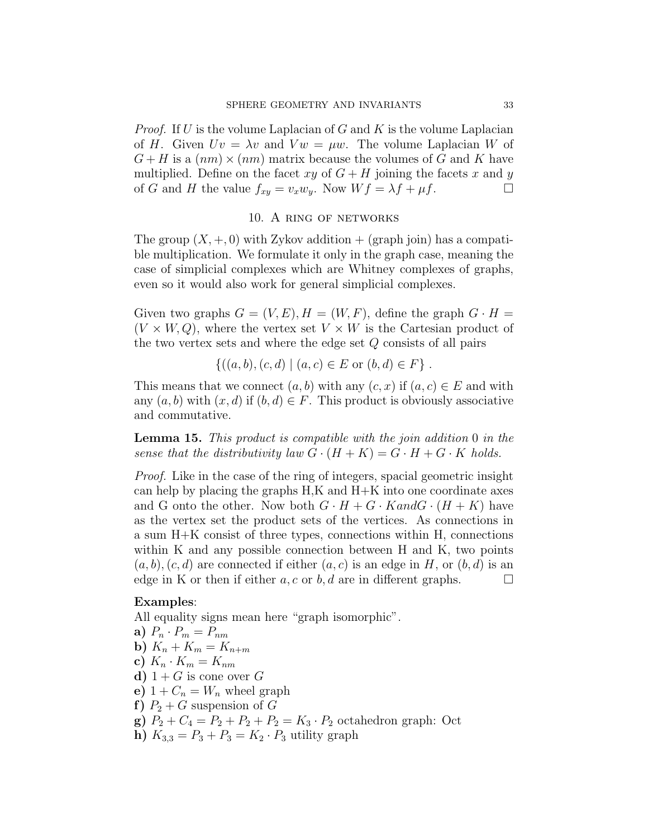*Proof.* If U is the volume Laplacian of G and K is the volume Laplacian of H. Given  $Uv = \lambda v$  and  $Vw = \mu w$ . The volume Laplacian W of  $G + H$  is a  $(nm) \times (nm)$  matrix because the volumes of G and K have multiplied. Define on the facet xy of  $G + H$  joining the facets x and y of G and H the value  $f_{xy} = v_x w_y$ . Now  $Wf = \lambda f + \mu f$ .

## 10. A ring of networks

The group  $(X, +, 0)$  with Zykov addition  $+$  (graph join) has a compatible multiplication. We formulate it only in the graph case, meaning the case of simplicial complexes which are Whitney complexes of graphs, even so it would also work for general simplicial complexes.

Given two graphs  $G = (V, E), H = (W, F)$ , define the graph  $G \cdot H =$  $(V \times W, Q)$ , where the vertex set  $V \times W$  is the Cartesian product of the two vertex sets and where the edge set  $Q$  consists of all pairs

$$
\{((a, b), (c, d) \mid (a, c) \in E \text{ or } (b, d) \in F\}.
$$

This means that we connect  $(a, b)$  with any  $(c, x)$  if  $(a, c) \in E$  and with any  $(a, b)$  with  $(x, d)$  if  $(b, d) \in F$ . This product is obviously associative and commutative.

Lemma 15. This product is compatible with the join addition 0 in the sense that the distributivity law  $G \cdot (H + K) = G \cdot H + G \cdot K$  holds.

Proof. Like in the case of the ring of integers, spacial geometric insight can help by placing the graphs H,K and H+K into one coordinate axes and G onto the other. Now both  $G \cdot H + G \cdot K$  and  $G \cdot (H + K)$  have as the vertex set the product sets of the vertices. As connections in a sum H+K consist of three types, connections within H, connections within K and any possible connection between H and K, two points  $(a, b), (c, d)$  are connected if either  $(a, c)$  is an edge in H, or  $(b, d)$  is an edge in K or then if either a, c or b, d are in different graphs.  $\square$ 

# Examples:

All equality signs mean here "graph isomorphic".

- a)  $P_n \cdot P_m = P_{nm}$
- b)  $K_n + K_m = K_{n+m}$
- c)  $K_n \cdot K_m = K_{nm}$
- d)  $1 + G$  is cone over G
- e)  $1 + C_n = W_n$  wheel graph
- f)  $P_2 + G$  suspension of G
- g)  $P_2 + C_4 = P_2 + P_2 + P_2 = K_3 \cdot P_2$  octahedron graph: Oct
- h)  $K_{3,3} = P_3 + P_3 = K_2 \cdot P_3$  utility graph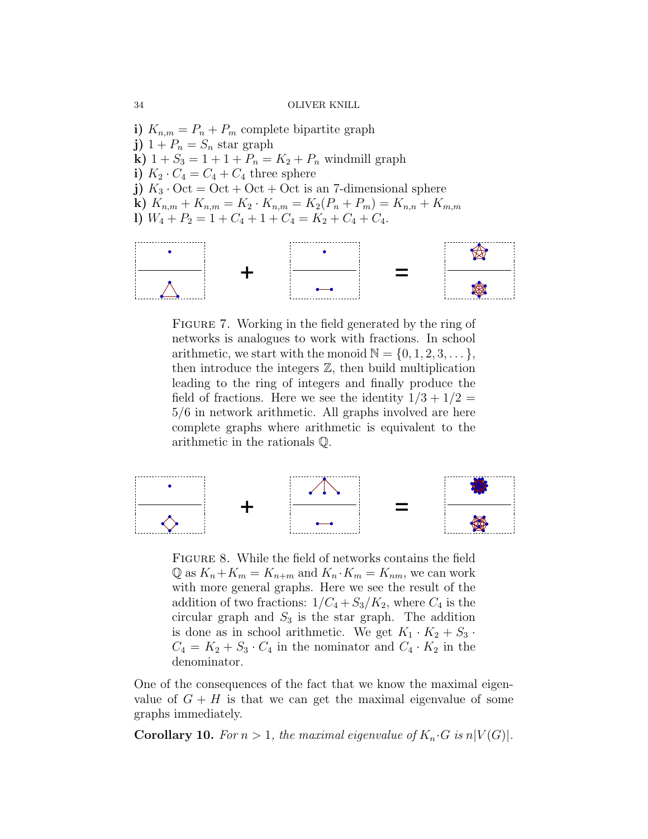i)  $K_{n,m} = P_n + P_m$  complete bipartite graph j)  $1 + P_n = S_n$  star graph **k**)  $1 + S_3 = 1 + 1 + P_n = K_2 + P_n$  windmill graph i)  $K_2 \cdot C_4 = C_4 + C_4$  three sphere j)  $K_3 \cdot \text{Oct} = \text{Oct} + \text{Oct} + \text{Oct}$  is an 7-dimensional sphere k)  $K_{n,m} + K_{n,m} = K_2 \cdot K_{n,m} = K_2(P_n + P_m) = K_{n,n} + K_{m,m}$ l)  $W_4 + P_2 = 1 + C_4 + 1 + C_4 = K_2 + C_4 + C_4.$ 



FIGURE 7. Working in the field generated by the ring of networks is analogues to work with fractions. In school arithmetic, we start with the monoid  $\mathbb{N} = \{0, 1, 2, 3, \dots\},\$ then introduce the integers  $\mathbb{Z}$ , then build multiplication leading to the ring of integers and finally produce the field of fractions. Here we see the identity  $1/3 + 1/2 =$ 5/6 in network arithmetic. All graphs involved are here complete graphs where arithmetic is equivalent to the arithmetic in the rationals Q.



Figure 8. While the field of networks contains the field  $\mathbb{Q}$  as  $K_n + K_m = K_{n+m}$  and  $K_n \cdot K_m = K_{nm}$ , we can work with more general graphs. Here we see the result of the addition of two fractions:  $1/C_4 + S_3/K_2$ , where  $C_4$  is the circular graph and  $S_3$  is the star graph. The addition is done as in school arithmetic. We get  $K_1 \cdot K_2 + S_3 \cdot$  $C_4 = K_2 + S_3 \cdot C_4$  in the nominator and  $C_4 \cdot K_2$  in the denominator.

One of the consequences of the fact that we know the maximal eigenvalue of  $G + H$  is that we can get the maximal eigenvalue of some graphs immediately.

**Corollary 10.** For  $n > 1$ , the maximal eigenvalue of  $K_n \cdot G$  is  $n|V(G)|$ .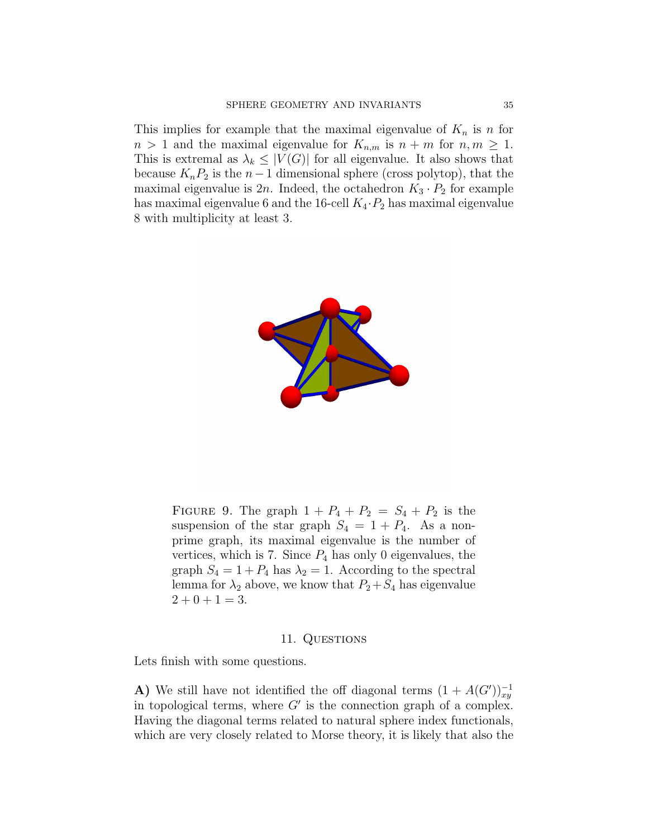This implies for example that the maximal eigenvalue of  $K_n$  is n for  $n > 1$  and the maximal eigenvalue for  $K_{n,m}$  is  $n + m$  for  $n, m \geq 1$ . This is extremal as  $\lambda_k \leq |V(G)|$  for all eigenvalue. It also shows that because  $K_nP_2$  is the  $n-1$  dimensional sphere (cross polytop), that the maximal eigenvalue is  $2n$ . Indeed, the octahedron  $K_3 \cdot P_2$  for example has maximal eigenvalue 6 and the 16-cell  $K_4 \cdot P_2$  has maximal eigenvalue 8 with multiplicity at least 3.



FIGURE 9. The graph  $1 + P_4 + P_2 = S_4 + P_2$  is the suspension of the star graph  $S_4 = 1 + P_4$ . As a nonprime graph, its maximal eigenvalue is the number of vertices, which is 7. Since  $P_4$  has only 0 eigenvalues, the graph  $S_4 = 1 + P_4$  has  $\lambda_2 = 1$ . According to the spectral lemma for  $\lambda_2$  above, we know that  $P_2+S_4$  has eigenvalue  $2 + 0 + 1 = 3.$ 

# 11. QUESTIONS

Lets finish with some questions.

A) We still have not identified the off diagonal terms  $(1 + A(G'))_{xy}^{-1}$ in topological terms, where  $G'$  is the connection graph of a complex. Having the diagonal terms related to natural sphere index functionals, which are very closely related to Morse theory, it is likely that also the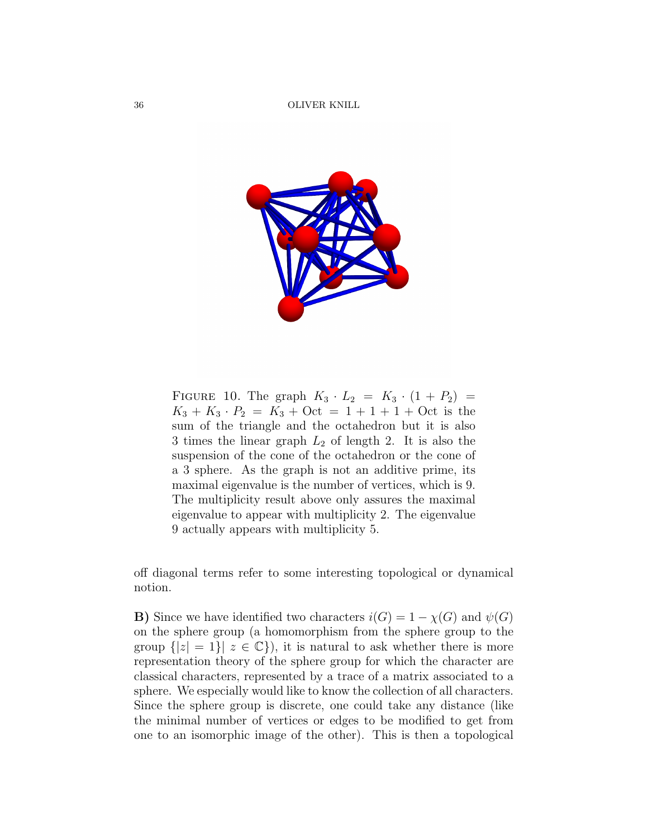

FIGURE 10. The graph  $K_3 \cdot L_2 = K_3 \cdot (1 + P_2) =$  $K_3 + K_3 \cdot P_2 = K_3 + \mathrm{Oct} = 1 + 1 + 1 + \mathrm{Oct}$  is the sum of the triangle and the octahedron but it is also 3 times the linear graph  $L_2$  of length 2. It is also the suspension of the cone of the octahedron or the cone of a 3 sphere. As the graph is not an additive prime, its maximal eigenvalue is the number of vertices, which is 9. The multiplicity result above only assures the maximal eigenvalue to appear with multiplicity 2. The eigenvalue 9 actually appears with multiplicity 5.

off diagonal terms refer to some interesting topological or dynamical notion.

**B)** Since we have identified two characters  $i(G) = 1 - \chi(G)$  and  $\psi(G)$ on the sphere group (a homomorphism from the sphere group to the group  $\{|z|=1\}$   $z\in\mathbb{C}\}$ , it is natural to ask whether there is more representation theory of the sphere group for which the character are classical characters, represented by a trace of a matrix associated to a sphere. We especially would like to know the collection of all characters. Since the sphere group is discrete, one could take any distance (like the minimal number of vertices or edges to be modified to get from one to an isomorphic image of the other). This is then a topological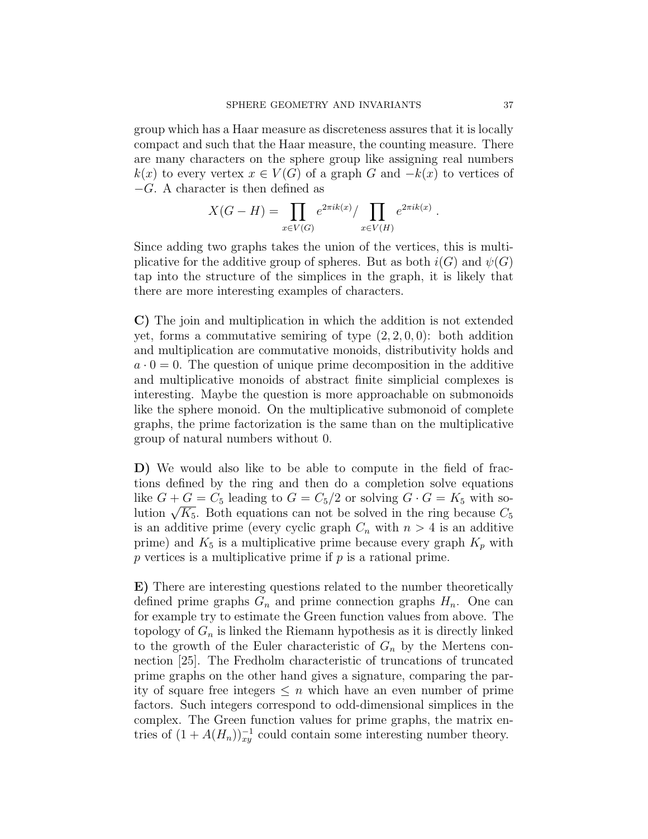group which has a Haar measure as discreteness assures that it is locally compact and such that the Haar measure, the counting measure. There are many characters on the sphere group like assigning real numbers  $k(x)$  to every vertex  $x \in V(G)$  of a graph G and  $-k(x)$  to vertices of  $-G. A character is then defined as$ 

$$
X(G - H) = \prod_{x \in V(G)} e^{2\pi i k(x)} / \prod_{x \in V(H)} e^{2\pi i k(x)}.
$$

Since adding two graphs takes the union of the vertices, this is multiplicative for the additive group of spheres. But as both  $i(G)$  and  $\psi(G)$ tap into the structure of the simplices in the graph, it is likely that there are more interesting examples of characters.

C) The join and multiplication in which the addition is not extended yet, forms a commutative semiring of type  $(2, 2, 0, 0)$ : both addition and multiplication are commutative monoids, distributivity holds and  $a \cdot 0 = 0$ . The question of unique prime decomposition in the additive and multiplicative monoids of abstract finite simplicial complexes is interesting. Maybe the question is more approachable on submonoids like the sphere monoid. On the multiplicative submonoid of complete graphs, the prime factorization is the same than on the multiplicative group of natural numbers without 0.

D) We would also like to be able to compute in the field of fractions defined by the ring and then do a completion solve equations like  $G + G = C_5$  leading to  $G = C_5/2$  or solving  $G \cdot G = K_5$  with soluke  $G + G = C_5$  leading to  $G = C_5/2$  or solving  $G \cdot G = K_5$  with solution  $\sqrt{K_5}$ . Both equations can not be solved in the ring because  $C_5$ is an additive prime (every cyclic graph  $C_n$  with  $n > 4$  is an additive prime) and  $K_5$  is a multiplicative prime because every graph  $K_p$  with  $p$  vertices is a multiplicative prime if  $p$  is a rational prime.

E) There are interesting questions related to the number theoretically defined prime graphs  $G_n$  and prime connection graphs  $H_n$ . One can for example try to estimate the Green function values from above. The topology of  $G_n$  is linked the Riemann hypothesis as it is directly linked to the growth of the Euler characteristic of  $G_n$  by the Mertens connection [25]. The Fredholm characteristic of truncations of truncated prime graphs on the other hand gives a signature, comparing the parity of square free integers  $\leq n$  which have an even number of prime factors. Such integers correspond to odd-dimensional simplices in the complex. The Green function values for prime graphs, the matrix entries of  $(1 + A(H_n))_{xy}^{-1}$  could contain some interesting number theory.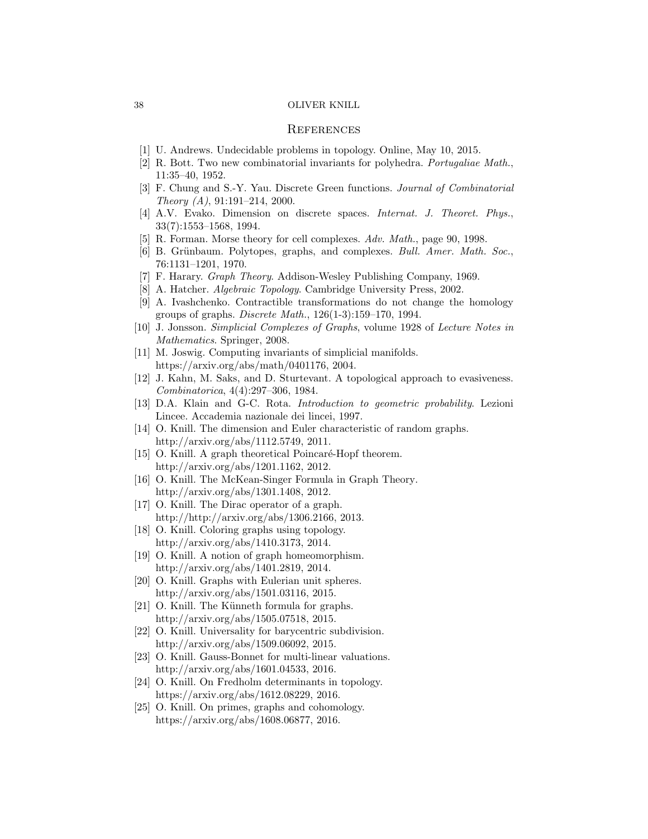## **REFERENCES**

- [1] U. Andrews. Undecidable problems in topology. Online, May 10, 2015.
- [2] R. Bott. Two new combinatorial invariants for polyhedra. Portugaliae Math., 11:35–40, 1952.
- [3] F. Chung and S.-Y. Yau. Discrete Green functions. Journal of Combinatorial Theory (A), 91:191–214, 2000.
- [4] A.V. Evako. Dimension on discrete spaces. Internat. J. Theoret. Phys., 33(7):1553–1568, 1994.
- [5] R. Forman. Morse theory for cell complexes. Adv. Math., page 90, 1998.
- [6] B. Grünbaum. Polytopes, graphs, and complexes. Bull. Amer. Math. Soc., 76:1131–1201, 1970.
- [7] F. Harary. Graph Theory. Addison-Wesley Publishing Company, 1969.
- [8] A. Hatcher. *Algebraic Topology*. Cambridge University Press, 2002.
- [9] A. Ivashchenko. Contractible transformations do not change the homology groups of graphs. Discrete Math., 126(1-3):159–170, 1994.
- [10] J. Jonsson. Simplicial Complexes of Graphs, volume 1928 of Lecture Notes in Mathematics. Springer, 2008.
- [11] M. Joswig. Computing invariants of simplicial manifolds. https://arxiv.org/abs/math/0401176, 2004.
- [12] J. Kahn, M. Saks, and D. Sturtevant. A topological approach to evasiveness. Combinatorica, 4(4):297–306, 1984.
- [13] D.A. Klain and G-C. Rota. Introduction to geometric probability. Lezioni Lincee. Accademia nazionale dei lincei, 1997.
- [14] O. Knill. The dimension and Euler characteristic of random graphs. http://arxiv.org/abs/1112.5749, 2011.
- [15] O. Knill. A graph theoretical Poincaré-Hopf theorem. http://arxiv.org/abs/1201.1162, 2012.
- [16] O. Knill. The McKean-Singer Formula in Graph Theory. http://arxiv.org/abs/1301.1408, 2012.
- [17] O. Knill. The Dirac operator of a graph. http://http://arxiv.org/abs/1306.2166, 2013.
- [18] O. Knill. Coloring graphs using topology. http://arxiv.org/abs/1410.3173, 2014.
- [19] O. Knill. A notion of graph homeomorphism. http://arxiv.org/abs/1401.2819, 2014.
- [20] O. Knill. Graphs with Eulerian unit spheres. http://arxiv.org/abs/1501.03116, 2015.
- [21] O. Knill. The Künneth formula for graphs. http://arxiv.org/abs/1505.07518, 2015.
- [22] O. Knill. Universality for barycentric subdivision. http://arxiv.org/abs/1509.06092, 2015.
- [23] O. Knill. Gauss-Bonnet for multi-linear valuations. http://arxiv.org/abs/1601.04533, 2016.
- [24] O. Knill. On Fredholm determinants in topology. https://arxiv.org/abs/1612.08229, 2016.
- [25] O. Knill. On primes, graphs and cohomology. https://arxiv.org/abs/1608.06877, 2016.